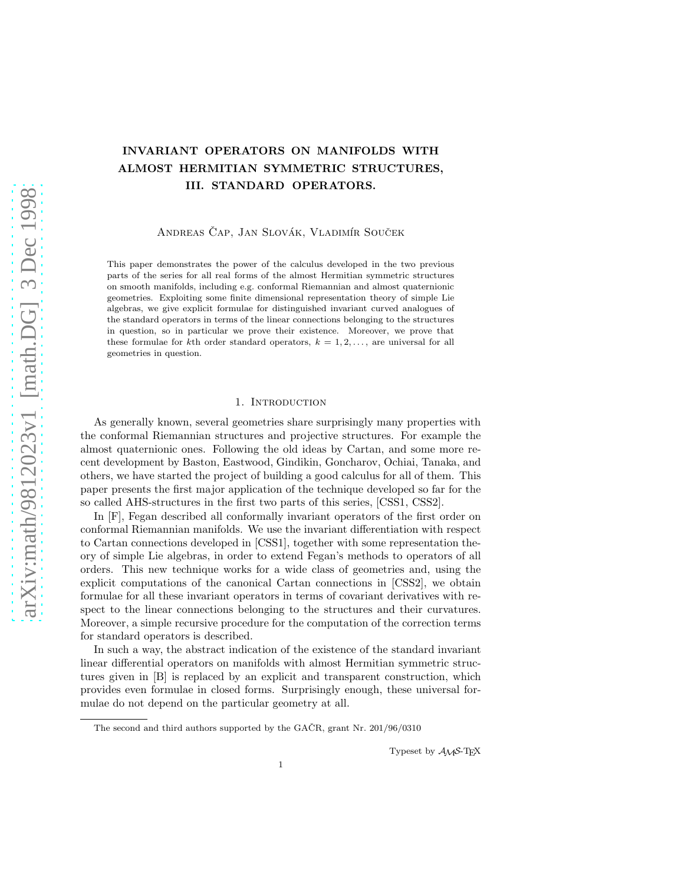# INVARIANT OPERATORS ON MANIFOLDS WITH ALMOST HERMITIAN SYMMETRIC STRUCTURES, III. STANDARD OPERATORS.

ANDREAS ČAP, JAN SLOVÁK, VLADIMÍR SOUČEK

This paper demonstrates the power of the calculus developed in the two previous parts of the series for all real forms of the almost Hermitian symmetric structures on smooth manifolds, including e.g. conformal Riemannian and almost quaternionic geometries. Exploiting some finite dimensional representation theory of simple Lie algebras, we give explicit formulae for distinguished invariant curved analogues of the standard operators in terms of the linear connections belonging to the structures in question, so in particular we prove their existence. Moreover, we prove that these formulae for kth order standard operators,  $k = 1, 2, \ldots$ , are universal for all geometries in question.

#### 1. Introduction

As generally known, several geometries share surprisingly many properties with the conformal Riemannian structures and projective structures. For example the almost quaternionic ones. Following the old ideas by Cartan, and some more recent development by Baston, Eastwood, Gindikin, Goncharov, Ochiai, Tanaka, and others, we have started the project of building a good calculus for all of them. This paper presents the first major application of the technique developed so far for the so called AHS-structures in the first two parts of this series, [CSS1, CSS2].

In  $[F]$ , Fegan described all conformally invariant operators of the first order on conformal Riemannian manifolds. We use the invariant differentiation with respect to Cartan connections developed in [CSS1], together with some representation theory of simple Lie algebras, in order to extend Fegan's methods to operators of all orders. This new technique works for a wide class of geometries and, using the explicit computations of the canonical Cartan connections in [CSS2], we obtain formulae for all these invariant operators in terms of covariant derivatives with respect to the linear connections belonging to the structures and their curvatures. Moreover, a simple recursive procedure for the computation of the correction terms for standard operators is described.

In such a way, the abstract indication of the existence of the standard invariant linear differential operators on manifolds with almost Hermitian symmetric structures given in [B] is replaced by an explicit and transparent construction, which provides even formulae in closed forms. Surprisingly enough, these universal formulae do not depend on the particular geometry at all.

Typeset by AMS-TEX

The second and third authors supported by the GAČR, grant Nr.  $201/96/0310$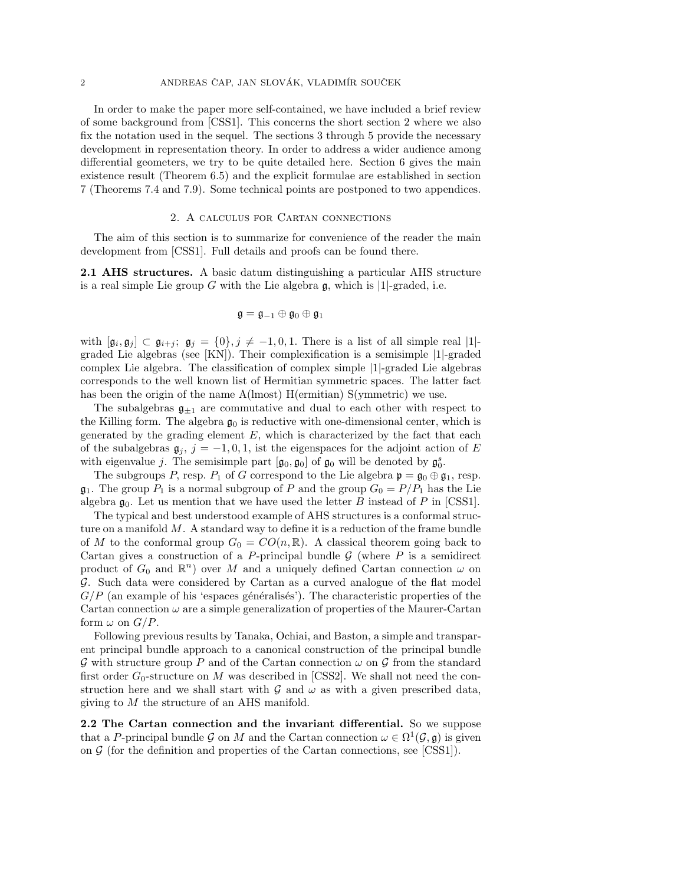In order to make the paper more self-contained, we have included a brief review of some background from [CSS1]. This concerns the short section 2 where we also fix the notation used in the sequel. The sections 3 through 5 provide the necessary development in representation theory. In order to address a wider audience among differential geometers, we try to be quite detailed here. Section 6 gives the main existence result (Theorem 6.5) and the explicit formulae are established in section 7 (Theorems 7.4 and 7.9). Some technical points are postponed to two appendices.

#### 2. A calculus for Cartan connections

The aim of this section is to summarize for convenience of the reader the main development from [CSS1]. Full details and proofs can be found there.

2.1 AHS structures. A basic datum distinguishing a particular AHS structure is a real simple Lie group G with the Lie algebra  $\mathfrak{g}$ , which is |1|-graded, i.e.

$$
\mathfrak{g}=\mathfrak{g}_{-1}\oplus\mathfrak{g}_0\oplus\mathfrak{g}_1
$$

with  $[\mathfrak{g}_i, \mathfrak{g}_j] \subset \mathfrak{g}_{i+j}$ ;  $\mathfrak{g}_j = \{0\}, j \neq -1, 0, 1$ . There is a list of all simple real  $|1|$ graded Lie algebras (see [KN]). Their complexification is a semisimple |1|-graded complex Lie algebra. The classification of complex simple |1|-graded Lie algebras corresponds to the well known list of Hermitian symmetric spaces. The latter fact has been the origin of the name  $A$ (lmost) H(ermitian) S(ymmetric) we use.

The subalgebras  $\mathfrak{g}_{\pm 1}$  are commutative and dual to each other with respect to the Killing form. The algebra  $\mathfrak{g}_0$  is reductive with one-dimensional center, which is generated by the grading element  $E$ , which is characterized by the fact that each of the subalgebras  $\mathfrak{g}_i$ ,  $j = -1, 0, 1$ , ist the eigenspaces for the adjoint action of E with eigenvalue j. The semisimple part  $[\mathfrak{g}_0, \mathfrak{g}_0]$  of  $\mathfrak{g}_0$  will be denoted by  $\mathfrak{g}_0^s$ .

The subgroups P, resp.  $P_1$  of G correspond to the Lie algebra  $\mathfrak{p} = \mathfrak{g}_0 \oplus \mathfrak{g}_1$ , resp.  $\mathfrak{g}_1$ . The group  $P_1$  is a normal subgroup of P and the group  $G_0 = P/P_1$  has the Lie algebra  $\mathfrak{g}_0$ . Let us mention that we have used the letter B instead of P in [CSS1].

The typical and best understood example of AHS structures is a conformal structure on a manifold  $M$ . A standard way to define it is a reduction of the frame bundle of M to the conformal group  $G_0 = CO(n, \mathbb{R})$ . A classical theorem going back to Cartan gives a construction of a P-principal bundle  $\mathcal G$  (where P is a semidirect product of  $G_0$  and  $\mathbb{R}^n$ ) over M and a uniquely defined Cartan connection  $\omega$  on G. Such data were considered by Cartan as a curved analogue of the flat model  $G/P$  (an example of his 'espaces généralisés'). The characteristic properties of the Cartan connection  $\omega$  are a simple generalization of properties of the Maurer-Cartan form  $\omega$  on  $G/P$ .

Following previous results by Tanaka, Ochiai, and Baston, a simple and transparent principal bundle approach to a canonical construction of the principal bundle  $\mathcal G$  with structure group P and of the Cartan connection  $\omega$  on  $\mathcal G$  from the standard first order  $G_0$ -structure on M was described in [CSS2]. We shall not need the construction here and we shall start with  $\mathcal G$  and  $\omega$  as with a given prescribed data, giving to M the structure of an AHS manifold.

2.2 The Cartan connection and the invariant differential. So we suppose that a P-principal bundle G on M and the Cartan connection  $\omega \in \Omega^1(\mathcal{G}, \mathfrak{g})$  is given on  $\mathcal G$  (for the definition and properties of the Cartan connections, see [CSS1]).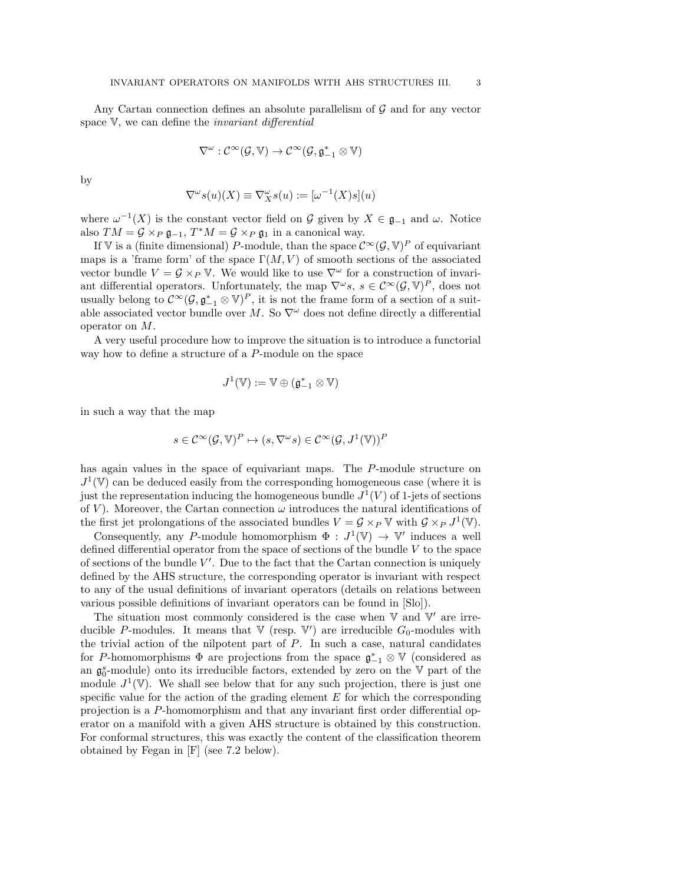Any Cartan connection defines an absolute parallelism of  $G$  and for any vector space  $V$ , we can define the *invariant differential* 

$$
\nabla^\omega : \mathcal{C}^\infty(\mathcal{G}, \mathbb{V}) \to \mathcal{C}^\infty(\mathcal{G}, \mathfrak{g}_{-1}^* \otimes \mathbb{V})
$$

by

$$
\nabla^{\omega} s(u)(X) \equiv \nabla^{\omega}_X s(u) := [\omega^{-1}(X)s](u)
$$

where  $\omega^{-1}(X)$  is the constant vector field on G given by  $X \in \mathfrak{g}_{-1}$  and  $\omega$ . Notice also  $TM = \mathcal{G} \times_P \mathfrak{g}_{-1}$ ,  $T^*M = \mathcal{G} \times_P \mathfrak{g}_1$  in a canonical way.

If V is a (finite dimensional) P-module, than the space  $\mathcal{C}^{\infty}(\mathcal{G}, \mathbb{V})^P$  of equivariant maps is a 'frame form' of the space  $\Gamma(M, V)$  of smooth sections of the associated vector bundle  $V = \mathcal{G} \times_{P} \mathbb{V}$ . We would like to use  $\nabla^{\omega}$  for a construction of invariant differential operators. Unfortunately, the map  $\nabla^{\omega}s$ ,  $s \in C^{\infty}(\mathcal{G}, \mathbb{V})^P$ , does not usually belong to  $\mathcal{C}^{\infty}(\mathcal{G}, \mathfrak{g}_{-1}^* \otimes V)^P$ , it is not the frame form of a section of a suitable associated vector bundle over M. So  $\nabla^{\omega}$  does not define directly a differential operator on M.

A very useful procedure how to improve the situation is to introduce a functorial way how to define a structure of a P-module on the space

$$
J^1(\mathbb{V}):=\mathbb{V}\oplus (\mathfrak{g}_{-1}^*\otimes \mathbb{V})
$$

in such a way that the map

$$
s \in \mathcal{C}^{\infty}(\mathcal{G}, \mathbb{V})^P \mapsto (s, \nabla^{\omega} s) \in \mathcal{C}^{\infty}(\mathcal{G}, J^1(\mathbb{V}))^P
$$

has again values in the space of equivariant maps. The P-module structure on  $J^1(\mathbb{V})$  can be deduced easily from the corresponding homogeneous case (where it is just the representation inducing the homogeneous bundle  $J^1(V)$  of 1-jets of sections of V). Moreover, the Cartan connection  $\omega$  introduces the natural identifications of the first jet prolongations of the associated bundles  $V = \mathcal{G} \times_P \mathbb{V}$  with  $\mathcal{G} \times_P J^1(\mathbb{V})$ .

Consequently, any P-module homomorphism  $\Phi: J^1(\mathbb{V}) \to \mathbb{V}'$  induces a well defined differential operator from the space of sections of the bundle  $V$  to the space of sections of the bundle  $V'$ . Due to the fact that the Cartan connection is uniquely defined by the AHS structure, the corresponding operator is invariant with respect to any of the usual definitions of invariant operators (details on relations between various possible definitions of invariant operators can be found in [Slo]).

The situation most commonly considered is the case when  $V$  and  $V'$  are irreducible P-modules. It means that  $V$  (resp.  $V'$ ) are irreducible  $G_0$ -modules with the trivial action of the nilpotent part of P. In such a case, natural candidates for P-homomorphisms  $\Phi$  are projections from the space  $\mathfrak{g}_{-1}^* \otimes \mathbb{V}$  (considered as an  $\mathfrak{g}_0^s$ -module) onto its irreducible factors, extended by zero on the  $\mathbb {V}$  part of the module  $J^1(\mathbb{V})$ . We shall see below that for any such projection, there is just one specific value for the action of the grading element  $E$  for which the corresponding projection is a P-homomorphism and that any invariant first order differential operator on a manifold with a given AHS structure is obtained by this construction. For conformal structures, this was exactly the content of the classification theorem obtained by Fegan in [F] (see 7.2 below).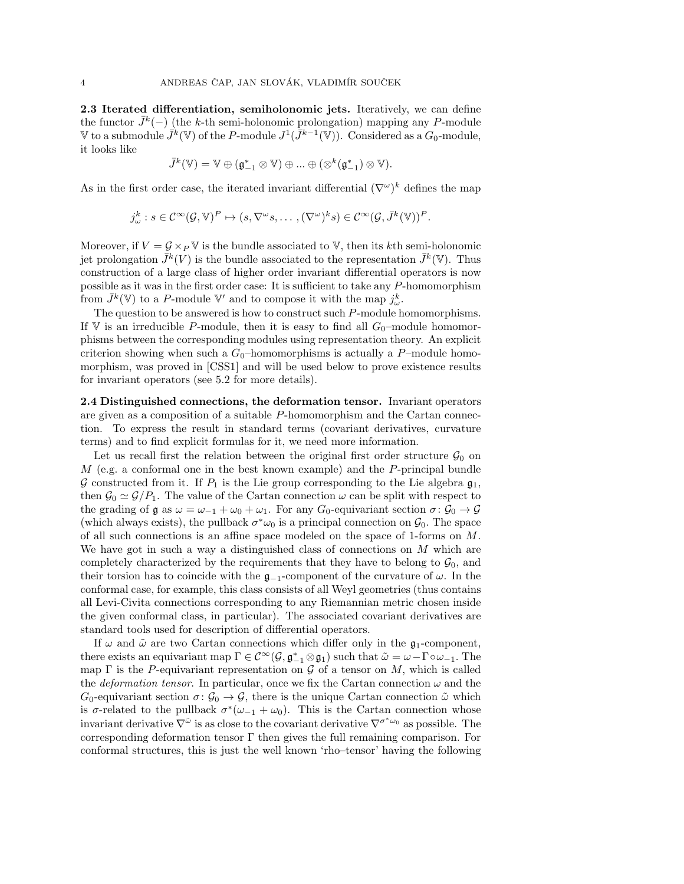2.3 Iterated differentiation, semiholonomic jets. Iteratively, we can define the functor  $\bar{J}^k(-)$  (the k-th semi-holonomic prolongation) mapping any P-module V to a submodule  $\bar{J}^k(\mathbb{V})$  of the P-module  $J^1(\bar{J}^{k-1}(\mathbb{V}))$ . Considered as a  $G_0$ -module, it looks like

$$
\bar{J}^k(\mathbb{V})=\mathbb{V}\oplus (\mathfrak{g}_{-1}^*\otimes \mathbb{V})\oplus\ldots\oplus (\otimes^k(\mathfrak{g}_{-1}^*)\otimes \mathbb{V}).
$$

As in the first order case, the iterated invariant differential  $(\nabla^{\omega})^k$  defines the map

$$
j_{\omega}^{k}: s \in \mathcal{C}^{\infty}(\mathcal{G}, \mathbb{V})^P \mapsto (s, \nabla^{\omega}s, \dots, (\nabla^{\omega})^k s) \in \mathcal{C}^{\infty}(\mathcal{G}, \bar{J}^k(\mathbb{V}))^P
$$

.

Moreover, if  $V = \mathcal{G} \times_P \mathbb{V}$  is the bundle associated to  $\mathbb{V}$ , then its kth semi-holonomic jet prolongation  $\bar{J}^k(V)$  is the bundle associated to the representation  $\bar{J}^k(\mathbb{V})$ . Thus construction of a large class of higher order invariant differential operators is now possible as it was in the first order case: It is sufficient to take any P-homomorphism from  $\bar{J}^k(\mathbb{V})$  to a P-module  $\mathbb{V}'$  and to compose it with the map  $j^k_\omega$ .

The question to be answered is how to construct such P-module homomorphisms. If  $V$  is an irreducible P-module, then it is easy to find all  $G_0$ -module homomorphisms between the corresponding modules using representation theory. An explicit criterion showing when such a  $G_0$ -homomorphisms is actually a P-module homomorphism, was proved in [CSS1] and will be used below to prove existence results for invariant operators (see 5.2 for more details).

2.4 Distinguished connections, the deformation tensor. Invariant operators are given as a composition of a suitable P-homomorphism and the Cartan connection. To express the result in standard terms (covariant derivatives, curvature terms) and to find explicit formulas for it, we need more information.

Let us recall first the relation between the original first order structure  $\mathcal{G}_0$  on  $M$  (e.g. a conformal one in the best known example) and the P-principal bundle G constructed from it. If  $P_1$  is the Lie group corresponding to the Lie algebra  $\mathfrak{g}_1$ , then  $\mathcal{G}_0 \simeq \mathcal{G}/P_1$ . The value of the Cartan connection  $\omega$  can be split with respect to the grading of  $\mathfrak g$  as  $\omega = \omega_{-1} + \omega_0 + \omega_1$ . For any  $G_0$ -equivariant section  $\sigma: \mathcal G_0 \to \mathcal G$ (which always exists), the pullback  $\sigma^* \omega_0$  is a principal connection on  $\mathcal{G}_0$ . The space of all such connections is an affine space modeled on the space of 1-forms on M. We have got in such a way a distinguished class of connections on  $M$  which are completely characterized by the requirements that they have to belong to  $\mathcal{G}_0$ , and their torsion has to coincide with the  $\mathfrak{g}_{-1}$ -component of the curvature of  $\omega$ . In the conformal case, for example, this class consists of all Weyl geometries (thus contains all Levi-Civita connections corresponding to any Riemannian metric chosen inside the given conformal class, in particular). The associated covariant derivatives are standard tools used for description of differential operators.

If  $\omega$  and  $\tilde{\omega}$  are two Cartan connections which differ only in the  $\mathfrak{g}_1$ -component, there exists an equivariant map  $\Gamma \in C^{\infty}(\mathcal{G}, \mathfrak{g}_{-1}^* \otimes \mathfrak{g}_1)$  such that  $\tilde{\omega} = \omega - \Gamma \circ \omega_{-1}$ . The map  $\Gamma$  is the P-equivariant representation on  $\mathcal G$  of a tensor on  $M$ , which is called the *deformation tensor*. In particular, once we fix the Cartan connection  $\omega$  and the  $G_0$ -equivariant section  $\sigma: \mathcal{G}_0 \to \mathcal{G}$ , there is the unique Cartan connection  $\tilde{\omega}$  which is  $\sigma$ -related to the pullback  $\sigma^*(\omega_{-1} + \omega_0)$ . This is the Cartan connection whose invariant derivative  $\nabla^{\tilde{\omega}}$  is as close to the covariant derivative  $\nabla^{\sigma^*\omega_0}$  as possible. The corresponding deformation tensor Γ then gives the full remaining comparison. For conformal structures, this is just the well known 'rho–tensor' having the following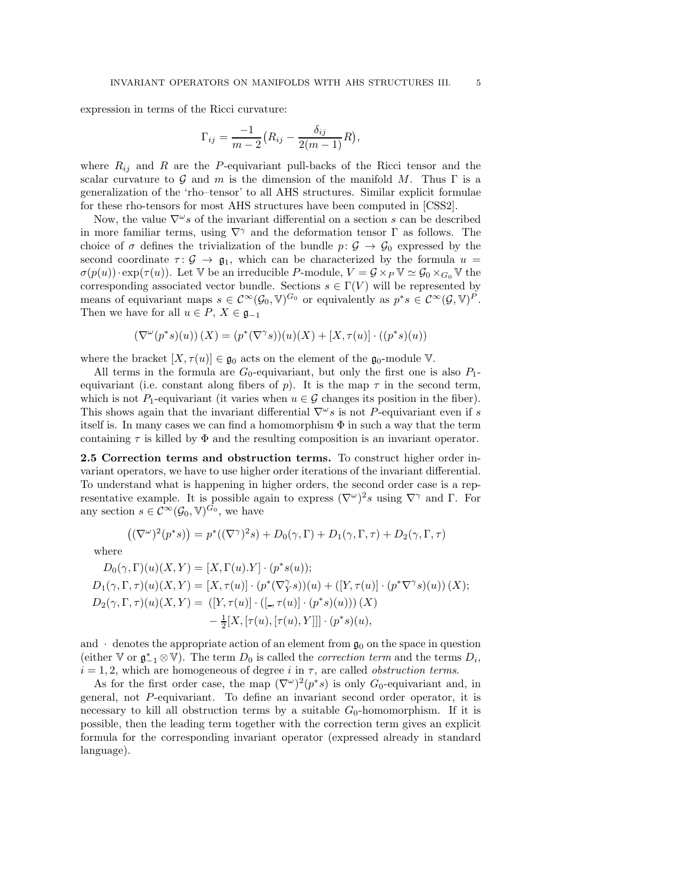expression in terms of the Ricci curvature:

$$
\Gamma_{ij}=\frac{-1}{m-2}\big(R_{ij}-\frac{\delta_{ij}}{2(m-1)}R\big),\,
$$

where  $R_{ij}$  and R are the P-equivariant pull-backs of the Ricci tensor and the scalar curvature to G and m is the dimension of the manifold M. Thus  $\Gamma$  is a generalization of the 'rho–tensor' to all AHS structures. Similar explicit formulae for these rho-tensors for most AHS structures have been computed in [CSS2].

Now, the value  $\nabla^{\omega} s$  of the invariant differential on a section s can be described in more familiar terms, using  $\nabla^{\gamma}$  and the deformation tensor  $\Gamma$  as follows. The choice of  $\sigma$  defines the trivialization of the bundle  $p: \mathcal{G} \to \mathcal{G}_0$  expressed by the second coordinate  $\tau: \mathcal{G} \to \mathfrak{g}_1$ , which can be characterized by the formula  $u =$  $\sigma(p(u)) \cdot \exp(\tau(u))$ . Let V be an irreducible P-module,  $V = \mathcal{G} \times_P \mathbb{V} \simeq \mathcal{G}_0 \times_{G_0} \mathbb{V}$  the corresponding associated vector bundle. Sections  $s \in \Gamma(V)$  will be represented by means of equivariant maps  $s \in C^{\infty}(\mathcal{G}_0, \mathbb{V})^{G_0}$  or equivalently as  $p^*s \in C^{\infty}(\mathcal{G}, \mathbb{V})^P$ . Then we have for all  $u \in P$ ,  $X \in \mathfrak{g}_{-1}$ 

$$
\left(\nabla^\omega(p^*s)(u)\right)(X) = (p^*(\nabla^\gamma s))(u)(X) + [X,\tau(u)]\cdot ((p^*s)(u))
$$

where the bracket  $[X, \tau(u)] \in \mathfrak{g}_0$  acts on the element of the  $\mathfrak{g}_0$ -module V.

All terms in the formula are  $G_0$ -equivariant, but only the first one is also  $P_1$ equivariant (i.e. constant along fibers of p). It is the map  $\tau$  in the second term, which is not P<sub>1</sub>-equivariant (it varies when  $u \in \mathcal{G}$  changes its position in the fiber). This shows again that the invariant differential  $\nabla^{\omega} s$  is not P-equivariant even if s itself is. In many cases we can find a homomorphism  $\Phi$  in such a way that the term containing  $\tau$  is killed by  $\Phi$  and the resulting composition is an invariant operator.

2.5 Correction terms and obstruction terms. To construct higher order invariant operators, we have to use higher order iterations of the invariant differential. To understand what is happening in higher orders, the second order case is a representative example. It is possible again to express  $(\nabla^{\omega})^2 s$  using  $\nabla^{\gamma}$  and  $\Gamma$ . For any section  $s \in C^{\infty}(\mathcal{G}_0, V)^{G_0}$ , we have

$$
((\nabla^{\omega})^2(p^*s)) = p^*((\nabla^{\gamma})^2s) + D_0(\gamma, \Gamma) + D_1(\gamma, \Gamma, \tau) + D_2(\gamma, \Gamma, \tau)
$$

where

$$
D_0(\gamma, \Gamma)(u)(X, Y) = [X, \Gamma(u).Y] \cdot (p^*s(u));
$$
  
\n
$$
D_1(\gamma, \Gamma, \tau)(u)(X, Y) = [X, \tau(u)] \cdot (p^*(\nabla_Y^{\gamma} s))(u) + ([Y, \tau(u)] \cdot (p^*\nabla^{\gamma} s)(u)) (X);
$$
  
\n
$$
D_2(\gamma, \Gamma, \tau)(u)(X, Y) = ([Y, \tau(u)] \cdot ([-, \tau(u)] \cdot (p^*s)(u))) (X)
$$
  
\n
$$
-\frac{1}{2}[X, [\tau(u), [\tau(u), Y]]] \cdot (p^*s)(u),
$$

and  $\cdot$  denotes the appropriate action of an element from  $\mathfrak{g}_0$  on the space in question (either V or  $\mathfrak{g}_{-1}^* \otimes \mathbb{V}$ ). The term  $D_0$  is called the *correction term* and the terms  $D_i$ ,  $i = 1, 2$ , which are homogeneous of degree i in  $\tau$ , are called *obstruction terms*.

As for the first order case, the map  $(\nabla^{\omega})^2(p^*s)$  is only  $G_0$ -equivariant and, in general, not P-equivariant. To define an invariant second order operator, it is necessary to kill all obstruction terms by a suitable  $G_0$ -homomorphism. If it is possible, then the leading term together with the correction term gives an explicit formula for the corresponding invariant operator (expressed already in standard language).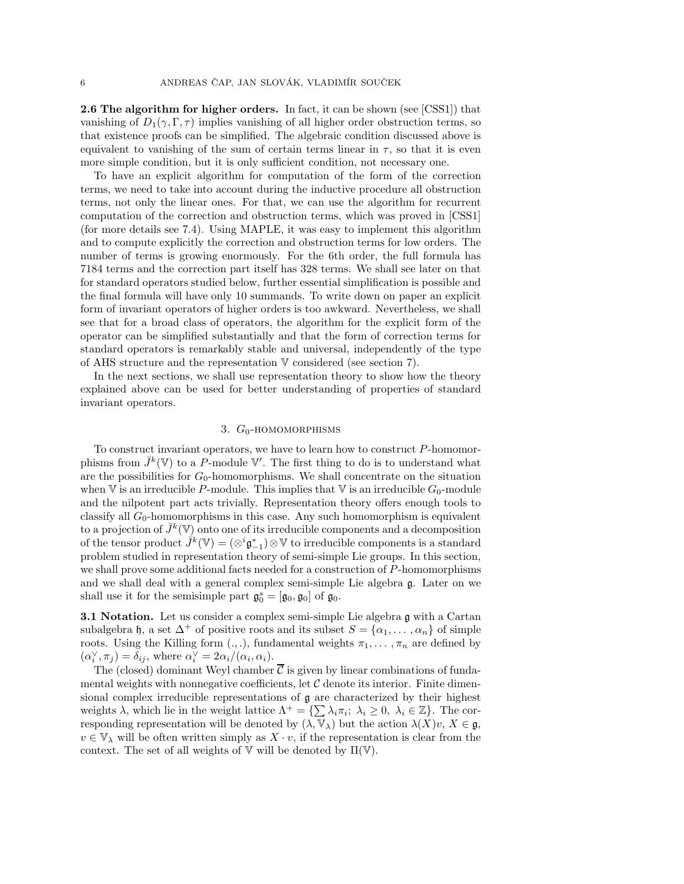2.6 The algorithm for higher orders. In fact, it can be shown (see [CSS1]) that vanishing of  $D_1(\gamma, \Gamma, \tau)$  implies vanishing of all higher order obstruction terms, so that existence proofs can be simplified. The algebraic condition discussed above is equivalent to vanishing of the sum of certain terms linear in  $\tau$ , so that it is even more simple condition, but it is only sufficient condition, not necessary one.

To have an explicit algorithm for computation of the form of the correction terms, we need to take into account during the inductive procedure all obstruction terms, not only the linear ones. For that, we can use the algorithm for recurrent computation of the correction and obstruction terms, which was proved in [CSS1] (for more details see 7.4). Using MAPLE, it was easy to implement this algorithm and to compute explicitly the correction and obstruction terms for low orders. The number of terms is growing enormously. For the 6th order, the full formula has 7184 terms and the correction part itself has 328 terms. We shall see later on that for standard operators studied below, further essential simplification is possible and the final formula will have only 10 summands. To write down on paper an explicit form of invariant operators of higher orders is too awkward. Nevertheless, we shall see that for a broad class of operators, the algorithm for the explicit form of the operator can be simplified substantially and that the form of correction terms for standard operators is remarkably stable and universal, independently of the type of AHS structure and the representation V considered (see section 7).

In the next sections, we shall use representation theory to show how the theory explained above can be used for better understanding of properties of standard invariant operators.

# 3.  $G_0$ -HOMOMORPHISMS

To construct invariant operators, we have to learn how to construct  $P$ -homomorphisms from  $\bar{J}^k(\mathbb{V})$  to a P-module  $\mathbb{V}'$ . The first thing to do is to understand what are the possibilities for  $G_0$ -homomorphisms. We shall concentrate on the situation when V is an irreducible P-module. This implies that V is an irreducible  $G_0$ -module and the nilpotent part acts trivially. Representation theory offers enough tools to classify all  $G_0$ -homomorphisms in this case. Any such homomorphism is equivalent to a projection of  $\bar{J}^k(\mathbb{V})$  onto one of its irreducible components and a decomposition of the tensor product  $\hat{J}^k(\mathbb{V}) = (\otimes^i \mathfrak{g}_{-1}^*) \otimes \mathbb{V}$  to irreducible components is a standard problem studied in representation theory of semi-simple Lie groups. In this section, we shall prove some additional facts needed for a construction of P-homomorphisms and we shall deal with a general complex semi-simple Lie algebra g. Later on we shall use it for the semisimple part  $\mathfrak{g}_0^s = [\mathfrak{g}_0, \mathfrak{g}_0]$  of  $\mathfrak{g}_0$ .

**3.1 Notation.** Let us consider a complex semi-simple Lie algebra g with a Cartan subalgebra h, a set  $\Delta^+$  of positive roots and its subset  $S = {\alpha_1, \dots, \alpha_n}$  of simple roots. Using the Killing form  $(., .)$ , fundamental weights  $\pi_1, \ldots, \pi_n$  are defined by  $(\alpha_i^{\vee}, \pi_j) = \delta_{ij}$ , where  $\alpha_i^{\vee} = 2\alpha_i/(\alpha_i, \alpha_i)$ .

The (closed) dominant Weyl chamber  $\overline{\mathcal{C}}$  is given by linear combinations of fundamental weights with nonnegative coefficients, let  $\mathcal C$  denote its interior. Finite dimensional complex irreducible representations of  $\mathfrak g$  are characterized by their highest weights  $\lambda$ , which lie in the weight lattice  $\Lambda^+ = \{\sum \lambda_i \pi_i; \lambda_i \geq 0, \lambda_i \in \mathbb{Z}\}\.$  The corresponding representation will be denoted by  $(\lambda, \overline{\mathbb{V}}_{\lambda})$  but the action  $\lambda(X)v, X \in \mathfrak{g}$ ,  $v \in \mathbb{V}_{\lambda}$  will be often written simply as  $X \cdot v$ , if the representation is clear from the context. The set of all weights of  $V$  will be denoted by  $\Pi(V)$ .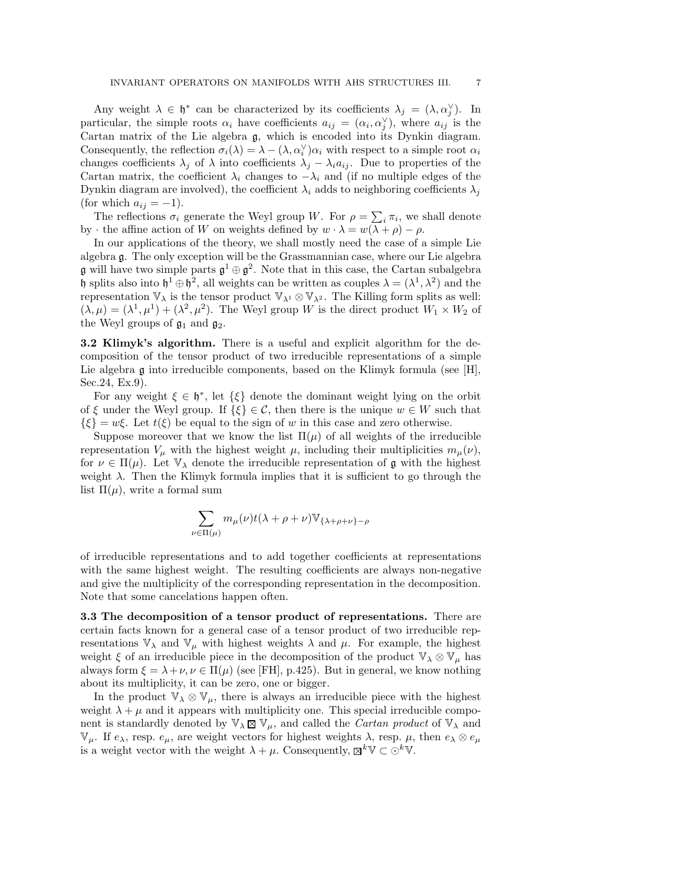Any weight  $\lambda \in \mathfrak{h}^*$  can be characterized by its coefficients  $\lambda_j = (\lambda, \alpha_j^{\vee})$ . In particular, the simple roots  $\alpha_i$  have coefficients  $a_{ij} = (\alpha_i, \alpha_j^{\vee})$ , where  $a_{ij}$  is the Cartan matrix of the Lie algebra g, which is encoded into its Dynkin diagram. Consequently, the reflection  $\sigma_i(\lambda) = \lambda - (\lambda, \alpha_i^{\vee})\alpha_i$  with respect to a simple root  $\alpha_i$ changes coefficients  $\lambda_j$  of  $\lambda$  into coefficients  $\lambda_j - \lambda_i a_{ij}$ . Due to properties of the Cartan matrix, the coefficient  $\lambda_i$  changes to  $-\lambda_i$  and (if no multiple edges of the Dynkin diagram are involved), the coefficient  $\lambda_i$  adds to neighboring coefficients  $\lambda_j$ (for which  $a_{ij} = -1$ ).

The reflections  $\sigma_i$  generate the Weyl group W. For  $\rho = \sum_i \pi_i$ , we shall denote by  $\cdot$  the affine action of W on weights defined by  $w \cdot \lambda = w(\lambda + \rho) - \rho$ .

In our applications of the theory, we shall mostly need the case of a simple Lie algebra g. The only exception will be the Grassmannian case, where our Lie algebra g will have two simple parts  $\mathfrak{g}^1 \oplus \mathfrak{g}^2$ . Note that in this case, the Cartan subalgebra h splits also into  $h^1 \oplus h^2$ , all weights can be written as couples  $\lambda = (\lambda^1, \lambda^2)$  and the representation  $\mathbb{V}_{\lambda}$  is the tensor product  $\mathbb{V}_{\lambda^1} \otimes \mathbb{V}_{\lambda^2}$ . The Killing form splits as well:  $(\lambda, \mu) = (\lambda^1, \mu^1) + (\lambda^2, \mu^2)$ . The Weyl group W is the direct product  $W_1 \times W_2$  of the Weyl groups of  $\mathfrak{g}_1$  and  $\mathfrak{g}_2$ .

3.2 Klimyk's algorithm. There is a useful and explicit algorithm for the decomposition of the tensor product of two irreducible representations of a simple Lie algebra  $\mathfrak g$  into irreducible components, based on the Klimyk formula (see [H], Sec.24, Ex.9).

For any weight  $\xi \in \mathfrak{h}^*$ , let  $\{\xi\}$  denote the dominant weight lying on the orbit of  $\xi$  under the Weyl group. If  $\{\xi\} \in \mathcal{C}$ , then there is the unique  $w \in W$  such that  $\{\xi\} = w\xi$ . Let  $t(\xi)$  be equal to the sign of w in this case and zero otherwise.

Suppose moreover that we know the list  $\Pi(\mu)$  of all weights of the irreducible representation  $V_\mu$  with the highest weight  $\mu$ , including their multiplicities  $m_\mu(\nu)$ , for  $\nu \in \Pi(\mu)$ . Let  $\mathbb{V}_{\lambda}$  denote the irreducible representation of g with the highest weight  $\lambda$ . Then the Klimyk formula implies that it is sufficient to go through the list  $\Pi(\mu)$ , write a formal sum

$$
\sum_{\nu \in \Pi(\mu)} m_{\mu}(\nu) t(\lambda + \rho + \nu) \mathbb{V}_{\{\lambda + \rho + \nu\} - \rho}
$$

of irreducible representations and to add together coefficients at representations with the same highest weight. The resulting coefficients are always non-negative and give the multiplicity of the corresponding representation in the decomposition. Note that some cancelations happen often.

3.3 The decomposition of a tensor product of representations. There are certain facts known for a general case of a tensor product of two irreducible representations  $\mathbb{V}_{\lambda}$  and  $\mathbb{V}_{\mu}$  with highest weights  $\lambda$  and  $\mu$ . For example, the highest weight  $\xi$  of an irreducible piece in the decomposition of the product  $\mathbb{V}_{\lambda} \otimes \mathbb{V}_{\mu}$  has always form  $\xi = \lambda + \nu, \nu \in \Pi(\mu)$  (see [FH], p.425). But in general, we know nothing about its multiplicity, it can be zero, one or bigger.

In the product  $\mathbb{V}_{\lambda} \otimes \mathbb{V}_{\mu}$ , there is always an irreducible piece with the highest weight  $\lambda + \mu$  and it appears with multiplicity one. This special irreducible component is standardly denoted by  $\mathbb{V}_{\lambda} \boxtimes \mathbb{V}_{\mu}$ , and called the *Cartan product* of  $\mathbb{V}_{\lambda}$  and  $\mathbb{V}_{\mu}$ . If  $e_{\lambda}$ , resp.  $e_{\mu}$ , are weight vectors for highest weights  $\lambda$ , resp.  $\mu$ , then  $e_{\lambda} \otimes e_{\mu}$ is a weight vector with the weight  $\lambda + \mu$ . Consequently,  $\mathbb{Z}^k \mathbb{V} \subset \mathbb{O}^k \mathbb{V}$ .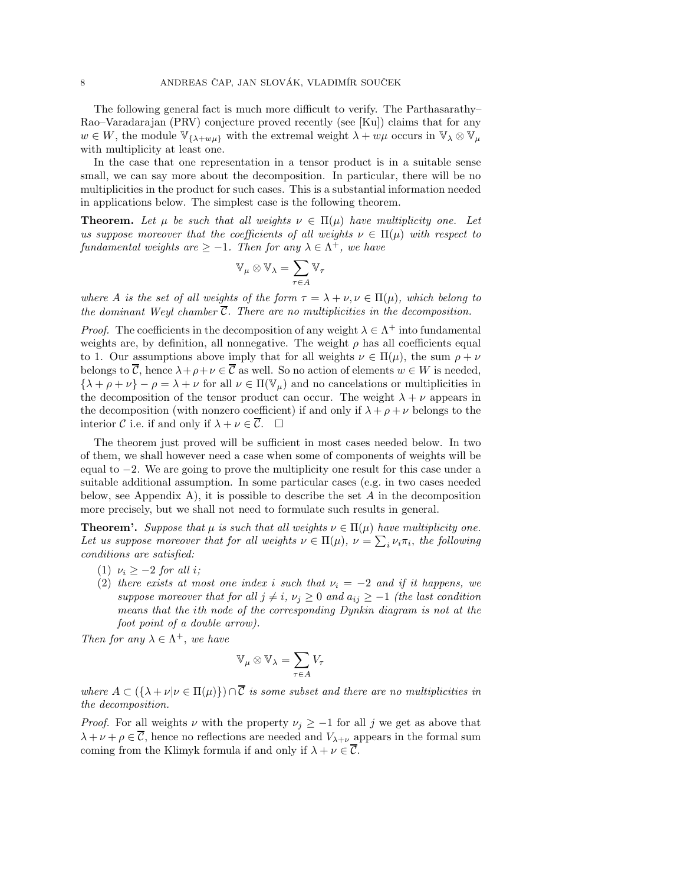The following general fact is much more difficult to verify. The Parthasarathy– Rao–Varadarajan (PRV) conjecture proved recently (see [Ku]) claims that for any  $w \in W$ , the module  $\mathbb{V}_{\{\lambda+w\mu\}}$  with the extremal weight  $\lambda+w\mu$  occurs in  $\mathbb{V}_{\lambda} \otimes \mathbb{V}_{\mu}$ with multiplicity at least one.

In the case that one representation in a tensor product is in a suitable sense small, we can say more about the decomposition. In particular, there will be no multiplicities in the product for such cases. This is a substantial information needed in applications below. The simplest case is the following theorem.

**Theorem.** Let  $\mu$  be such that all weights  $\nu \in \Pi(\mu)$  have multiplicity one. Let us suppose moreover that the coefficients of all weights  $\nu \in \Pi(\mu)$  with respect to fundamental weights are  $\geq -1$ . Then for any  $\lambda \in \Lambda^+$ , we have

$$
\mathbb{V}_\mu \otimes \mathbb{V}_\lambda = \sum_{\tau \in A} \mathbb{V}_\tau
$$

where A is the set of all weights of the form  $\tau = \lambda + \nu, \nu \in \Pi(\mu)$ , which belong to the dominant Weyl chamber  $\overline{\mathcal{C}}$ . There are no multiplicities in the decomposition.

*Proof.* The coefficients in the decomposition of any weight  $\lambda \in \Lambda^+$  into fundamental weights are, by definition, all nonnegative. The weight  $\rho$  has all coefficients equal to 1. Our assumptions above imply that for all weights  $\nu \in \Pi(\mu)$ , the sum  $\rho + \nu$ belongs to  $\overline{\mathcal{C}}$ , hence  $\lambda + \rho + \nu \in \overline{\mathcal{C}}$  as well. So no action of elements  $w \in W$  is needed,  $\{\lambda + \rho + \nu\} - \rho = \lambda + \nu$  for all  $\nu \in \Pi(\mathbb{V}_{\mu})$  and no cancelations or multiplicities in the decomposition of the tensor product can occur. The weight  $\lambda + \nu$  appears in the decomposition (with nonzero coefficient) if and only if  $\lambda + \rho + \nu$  belongs to the interior C i.e. if and only if  $\lambda + \nu \in \overline{\mathcal{C}}$ .  $\Box$ 

The theorem just proved will be sufficient in most cases needed below. In two of them, we shall however need a case when some of components of weights will be equal to −2. We are going to prove the multiplicity one result for this case under a suitable additional assumption. In some particular cases (e.g. in two cases needed below, see Appendix A), it is possible to describe the set  $A$  in the decomposition more precisely, but we shall not need to formulate such results in general.

**Theorem'.** Suppose that  $\mu$  is such that all weights  $\nu \in \Pi(\mu)$  have multiplicity one. Let us suppose moreover that for all weights  $\nu \in \Pi(\mu)$ ,  $\nu = \sum_i \nu_i \pi_i$ , the following conditions are satisfied:

- (1)  $\nu_i \geq -2$  for all i;
- (2) there exists at most one index i such that  $\nu_i = -2$  and if it happens, we suppose moreover that for all  $j \neq i$ ,  $\nu_j \geq 0$  and  $a_{ij} \geq -1$  (the last condition means that the ith node of the corresponding Dynkin diagram is not at the foot point of a double arrow).

Then for any  $\lambda \in \Lambda^+$ , we have

$$
\mathbb{V}_{\mu}\otimes\mathbb{V}_{\lambda}=\sum_{\tau\in A}V_{\tau}
$$

where  $A \subset (\{\lambda + \nu | \nu \in \Pi(\mu)\}) \cap \overline{C}$  is some subset and there are no multiplicities in the decomposition.

*Proof.* For all weights  $\nu$  with the property  $\nu_j \geq -1$  for all j we get as above that  $\lambda + \nu + \rho \in \overline{\mathcal{C}}$ , hence no reflections are needed and  $V_{\lambda+\nu}$  appears in the formal sum coming from the Klimyk formula if and only if  $\lambda + \nu \in \overline{\mathcal{C}}$ .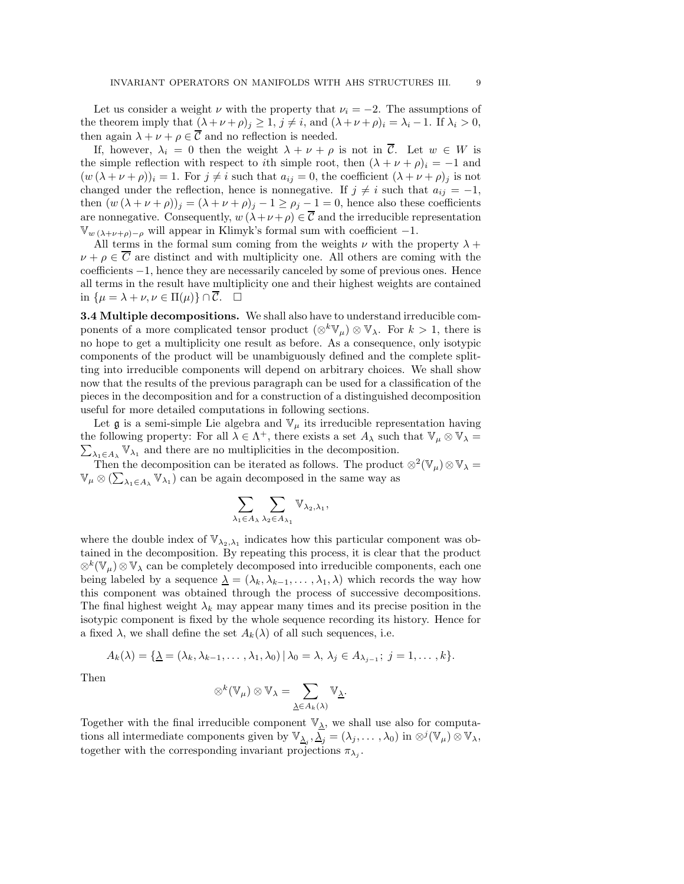Let us consider a weight  $\nu$  with the property that  $\nu_i = -2$ . The assumptions of the theorem imply that  $(\lambda + \nu + \rho)_j \geq 1$ ,  $j \neq i$ , and  $(\lambda + \nu + \rho)_i = \lambda_i - 1$ . If  $\lambda_i > 0$ , then again  $\lambda + \nu + \rho \in \overline{\mathcal{C}}$  and no reflection is needed.

If, however,  $\lambda_i = 0$  then the weight  $\lambda + \nu + \rho$  is not in  $\overline{\mathcal{C}}$ . Let  $w \in W$  is the simple reflection with respect to *i*th simple root, then  $(\lambda + \nu + \rho)_i = -1$  and  $(w (\lambda + \nu + \rho))_i = 1$ . For  $j \neq i$  such that  $a_{ij} = 0$ , the coefficient  $(\lambda + \nu + \rho)_j$  is not changed under the reflection, hence is nonnegative. If  $j \neq i$  such that  $a_{ij} = -1$ , then  $(w (\lambda + \nu + \rho))_j = (\lambda + \nu + \rho)_j - 1 \ge \rho_j - 1 = 0$ , hence also these coefficients are nonnegative. Consequently,  $w(\lambda + \nu + \rho) \in \overline{C}$  and the irreducible representation  $\mathbb{V}_{w(\lambda+\nu+\rho)-\rho}$  will appear in Klimyk's formal sum with coefficient -1.

All terms in the formal sum coming from the weights  $\nu$  with the property  $\lambda$  +  $\nu + \rho \in \overline{C}$  are distinct and with multiplicity one. All others are coming with the coefficients −1, hence they are necessarily canceled by some of previous ones. Hence all terms in the result have multiplicity one and their highest weights are contained in  $\{\mu = \lambda + \nu, \nu \in \Pi(\mu)\} \cap C$ .  $\square$ 

3.4 Multiple decompositions. We shall also have to understand irreducible components of a more complicated tensor product  $(\otimes^k \mathbb{V}_{\mu}) \otimes \mathbb{V}_{\lambda}$ . For  $k > 1$ , there is no hope to get a multiplicity one result as before. As a consequence, only isotypic components of the product will be unambiguously defined and the complete splitting into irreducible components will depend on arbitrary choices. We shall show now that the results of the previous paragraph can be used for a classification of the pieces in the decomposition and for a construction of a distinguished decomposition useful for more detailed computations in following sections.

Let  $\mathfrak g$  is a semi-simple Lie algebra and  $\mathbb V_\mu$  its irreducible representation having the following property: For all  $\lambda \in \Lambda^+$ , there exists a set  $A_\lambda$  such that  $\mathbb{V}_\mu \otimes \mathbb{V}_\lambda =$  $\sum_{\lambda_1 \in A_\lambda} \mathbb{V}_{\lambda_1}$  and there are no multiplicities in the decomposition.

Then the decomposition can be iterated as follows. The product  $\otimes^2(\mathbb{V}_{\mu})\otimes\mathbb{V}_{\lambda} =$  $\mathbb{V}_{\mu}\otimes (\sum_{\lambda_1\in A_{\lambda}}\mathbb{V}_{\lambda_1})$  can be again decomposed in the same way as

$$
\sum_{\lambda_1\in A_\lambda}\sum_{\lambda_2\in A_{\lambda_1}}\mathbb{V}_{\lambda_2,\lambda_1},
$$

where the double index of  $\mathbb{V}_{\lambda_2,\lambda_1}$  indicates how this particular component was obtained in the decomposition. By repeating this process, it is clear that the product  $\otimes^k(\mathbb{V}_\mu)\otimes\mathbb{V}_\lambda$  can be completely decomposed into irreducible components, each one being labeled by a sequence  $\underline{\lambda} = (\lambda_k, \lambda_{k-1}, \dots, \lambda_1, \lambda)$  which records the way how this component was obtained through the process of successive decompositions. The final highest weight  $\lambda_k$  may appear many times and its precise position in the isotypic component is fixed by the whole sequence recording its history. Hence for a fixed  $\lambda$ , we shall define the set  $A_k(\lambda)$  of all such sequences, i.e.

$$
A_k(\lambda) = \{ \underline{\lambda} = (\lambda_k, \lambda_{k-1}, \dots, \lambda_1, \lambda_0) | \lambda_0 = \lambda, \lambda_j \in A_{\lambda_{j-1}}; j = 1, \dots, k \}.
$$

Then

$$
\otimes^k(\mathbb{V}_\mu) \otimes \mathbb{V}_\lambda = \sum_{\underline{\lambda} \in A_k(\lambda)} \mathbb{V}_{\underline{\lambda}}.
$$

Together with the final irreducible component  $\mathbb{V}_{\underline{\lambda}}$ , we shall use also for computations all intermediate components given by  $\mathbb{V}_{\Delta_j}, \overline{\Delta_j} = (\lambda_j, \dots, \lambda_0)$  in  $\otimes^j (\mathbb{V}_{\mu}) \otimes \mathbb{V}_{\lambda}$ , together with the corresponding invariant projections  $\pi_{\lambda_j}$ .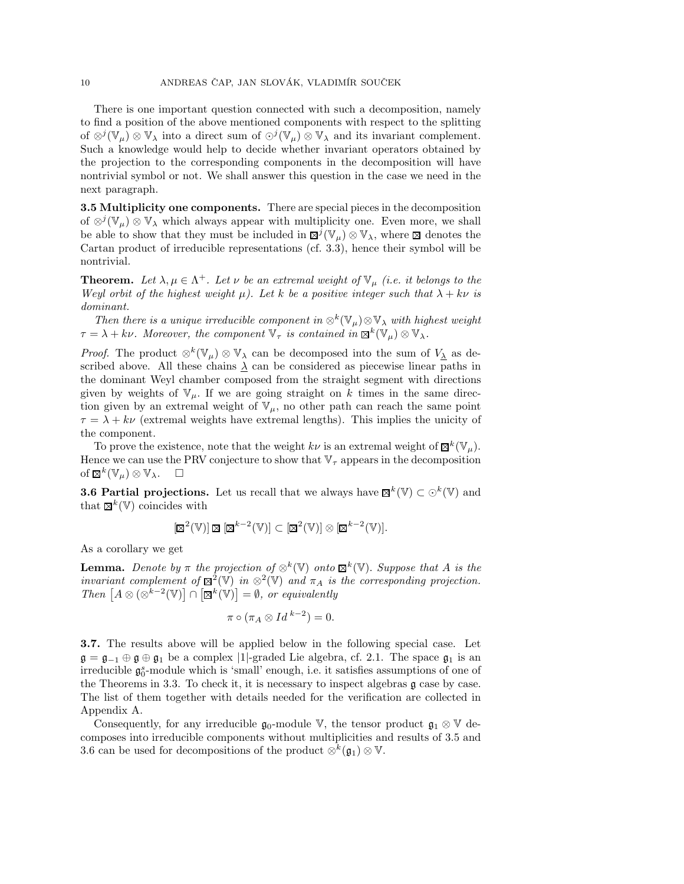There is one important question connected with such a decomposition, namely to find a position of the above mentioned components with respect to the splitting of  $\otimes^j(\mathbb{V}_\mu) \otimes \mathbb{V}_\lambda$  into a direct sum of  $\odot^j(\mathbb{V}_\mu) \otimes \mathbb{V}_\lambda$  and its invariant complement. Such a knowledge would help to decide whether invariant operators obtained by the projection to the corresponding components in the decomposition will have nontrivial symbol or not. We shall answer this question in the case we need in the next paragraph.

3.5 Multiplicity one components. There are special pieces in the decomposition of  $\otimes^j(\mathbb{V}_{\mu})\otimes\mathbb{V}_{\lambda}$  which always appear with multiplicity one. Even more, we shall be able to show that they must be included in  $\mathbb{Z}^j(\mathbb{V}_\mu)\otimes \mathbb{V}_\lambda$ , where  $\mathbb Z$  denotes the Cartan product of irreducible representations (cf. 3.3), hence their symbol will be nontrivial.

**Theorem.** Let  $\lambda, \mu \in \Lambda^+$ . Let  $\nu$  be an extremal weight of  $\mathbb{V}_{\mu}$  (i.e. it belongs to the Weyl orbit of the highest weight  $\mu$ ). Let k be a positive integer such that  $\lambda + k\nu$  is dominant.

Then there is a unique irreducible component in  $\otimes^k(\mathbb{V}_\mu)\otimes \mathbb{V}_\lambda$  with highest weight  $\tau = \lambda + k\nu$ . Moreover, the component  $\nabla_{\tau}$  is contained in  $\mathbb{R}^{k}(\mathbb{V}_{\mu}) \otimes \mathbb{V}_{\lambda}$ .

*Proof.* The product  $\otimes^k(\mathbb{V}_\mu) \otimes \mathbb{V}_\lambda$  can be decomposed into the sum of  $V_{\underline{\lambda}}$  as described above. All these chains  $\lambda$  can be considered as piecewise linear paths in the dominant Weyl chamber composed from the straight segment with directions given by weights of  $V_\mu$ . If we are going straight on k times in the same direction given by an extremal weight of  $V_{\mu}$ , no other path can reach the same point  $\tau = \lambda + k\nu$  (extremal weights have extremal lengths). This implies the unicity of the component.

To prove the existence, note that the weight  $k\nu$  is an extremal weight of  $\mathbb{Z}^k(\mathbb{V}_{\mu})$ . Hence we can use the PRV conjecture to show that  $\mathbb{V}_{\tau}$  appears in the decomposition of  $\mathbb{Z}^k(\mathbb{V}_{\mu})\otimes \mathbb{V}_{\lambda}$ .  $\square$ 

**3.6 Partial projections.** Let us recall that we always have  $\mathbb{Z}^k(\mathbb{V}) \subset \odot^k(\mathbb{V})$  and that  $\mathbb{Z}^k(\mathbb{V})$  coincides with

$$
[\boxtimes^2(\mathbb{V})] \boxtimes [\boxtimes^{k-2}(\mathbb{V})] \subset [\boxtimes^2(\mathbb{V})] \otimes [\boxtimes^{k-2}(\mathbb{V})].
$$

As a corollary we get

**Lemma.** Denote by  $\pi$  the projection of  $\otimes^k(\mathbb{V})$  onto  $\mathbb{B}^k(\mathbb{V})$ . Suppose that A is the invariant complement of  $\mathbb{Z}^2(\mathbb{V})$  in  $\otimes^2(\mathbb{V})$  and  $\pi_A$  is the corresponding projection. Then  $[A \otimes (\otimes^{k-2} V)] \cap [\boxtimes^k(V)] = \emptyset$ , or equivalently

$$
\pi\circ(\pi_A\otimes Id^{k-2})=0.
$$

3.7. The results above will be applied below in the following special case. Let  $\mathfrak{g} = \mathfrak{g}_{-1} \oplus \mathfrak{g} \oplus \mathfrak{g}_1$  be a complex |1|-graded Lie algebra, cf. 2.1. The space  $\mathfrak{g}_1$  is an irreducible  $\mathfrak{g}_0^s$ -module which is 'small' enough, i.e. it satisfies assumptions of one of the Theorems in 3.3. To check it, it is necessary to inspect algebras g case by case. The list of them together with details needed for the verification are collected in Appendix A.

Consequently, for any irreducible  $\mathfrak{g}_0$ -module V, the tensor product  $\mathfrak{g}_1 \otimes \mathbb{V}$  decomposes into irreducible components without multiplicities and results of 3.5 and 3.6 can be used for decompositions of the product  $\otimes^k(\mathfrak{g}_1) \otimes \mathbb{V}$ .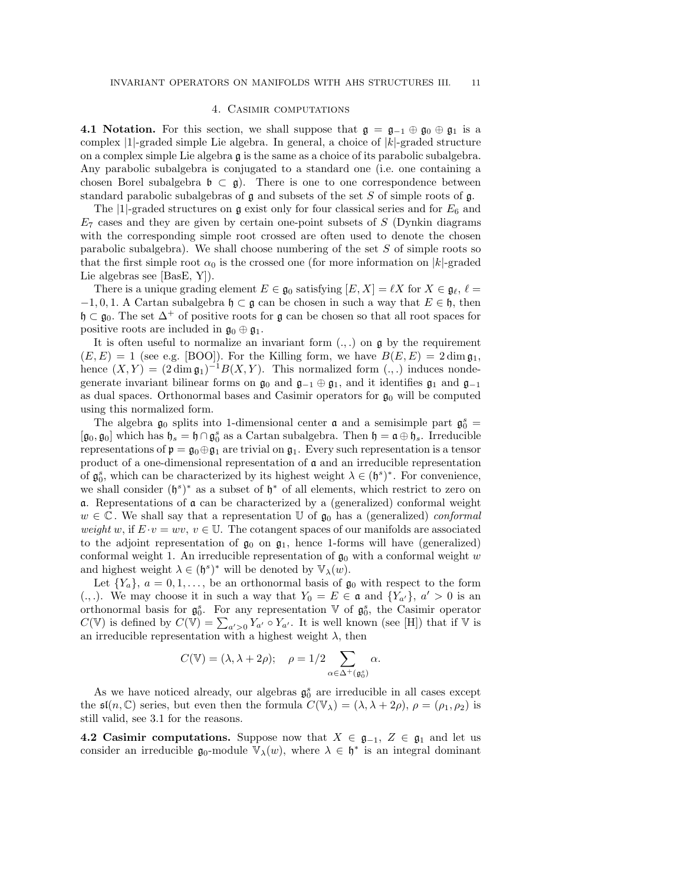## 4. Casimir computations

4.1 Notation. For this section, we shall suppose that  $\mathfrak{g} = \mathfrak{g}_{-1} \oplus \mathfrak{g}_0 \oplus \mathfrak{g}_1$  is a complex  $|1|$ -graded simple Lie algebra. In general, a choice of  $|k|$ -graded structure on a complex simple Lie algebra g is the same as a choice of its parabolic subalgebra. Any parabolic subalgebra is conjugated to a standard one (i.e. one containing a chosen Borel subalgebra  $\mathfrak{b} \subset \mathfrak{g}$ . There is one to one correspondence between standard parabolic subalgebras of  $\mathfrak g$  and subsets of the set S of simple roots of  $\mathfrak g$ .

The |1|-graded structures on  $\mathfrak g$  exist only for four classical series and for  $E_6$  and  $E_7$  cases and they are given by certain one-point subsets of S (Dynkin diagrams with the corresponding simple root crossed are often used to denote the chosen parabolic subalgebra). We shall choose numbering of the set  $S$  of simple roots so that the first simple root  $\alpha_0$  is the crossed one (for more information on |k|-graded Lie algebras see [BasE, Y]).

There is a unique grading element  $E \in \mathfrak{g}_0$  satisfying  $[E, X] = \ell X$  for  $X \in \mathfrak{g}_\ell, \ell =$  $-1, 0, 1$ . A Cartan subalgebra  $\mathfrak{h} \subset \mathfrak{g}$  can be chosen in such a way that  $E \in \mathfrak{h}$ , then  $\mathfrak{h} \subset \mathfrak{g}_0$ . The set  $\Delta^+$  of positive roots for g can be chosen so that all root spaces for positive roots are included in  $\mathfrak{g}_0 \oplus \mathfrak{g}_1$ .

It is often useful to normalize an invariant form  $(.,.)$  on  $\mathfrak g$  by the requirement  $(E, E) = 1$  (see e.g. [BOO]). For the Killing form, we have  $B(E, E) = 2 \dim \mathfrak{g}_1$ , hence  $(X, Y) = (2 \dim \mathfrak{g}_1)^{-1} B(X, Y)$ . This normalized form  $(.,.)$  induces nondegenerate invariant bilinear forms on  $\mathfrak{g}_0$  and  $\mathfrak{g}_{-1} \oplus \mathfrak{g}_1$ , and it identifies  $\mathfrak{g}_1$  and  $\mathfrak{g}_{-1}$ as dual spaces. Orthonormal bases and Casimir operators for  $\mathfrak{g}_0$  will be computed using this normalized form.

The algebra  $\mathfrak{g}_0$  splits into 1-dimensional center  $\mathfrak a$  and a semisimple part  $\mathfrak{g}_0^s$  =  $[\mathfrak{g}_0, \mathfrak{g}_0]$  which has  $\mathfrak{h}_s = \mathfrak{h} \cap \mathfrak{g}_0^s$  as a Cartan subalgebra. Then  $\mathfrak{h} = \mathfrak{a} \oplus \mathfrak{h}_s$ . Irreducible representations of  $\mathfrak{p} = \mathfrak{g}_0 \oplus \mathfrak{g}_1$  are trivial on  $\mathfrak{g}_1$ . Every such representation is a tensor product of a one-dimensional representation of  $\mathfrak a$  and an irreducible representation of  $\mathfrak{g}_0^s$ , which can be characterized by its highest weight  $\lambda \in (\mathfrak{h}^s)^*$ . For convenience, we shall consider  $(\mathfrak{h}^s)^*$  as a subset of  $\mathfrak{h}^*$  of all elements, which restrict to zero on  $\alpha$ . Representations of  $\alpha$  can be characterized by a (generalized) conformal weight  $w \in \mathbb{C}$ . We shall say that a representation U of  $\mathfrak{g}_0$  has a (generalized) conformal weight w, if  $E \cdot v = wv$ ,  $v \in \mathbb{U}$ . The cotangent spaces of our manifolds are associated to the adjoint representation of  $\mathfrak{g}_0$  on  $\mathfrak{g}_1$ , hence 1-forms will have (generalized) conformal weight 1. An irreducible representation of  $\mathfrak{g}_0$  with a conformal weight w and highest weight  $\lambda \in (\mathfrak{h}^s)^*$  will be denoted by  $\mathbb{V}_{\lambda}(w)$ .

Let  $\{Y_a\}, a = 0, 1, \ldots$ , be an orthonormal basis of  $\mathfrak{g}_0$  with respect to the form (.,.). We may choose it in such a way that  $Y_0 = E \in \mathfrak{a}$  and  $\{Y_{a'}\}, a' > 0$  is an orthonormal basis for  $\mathfrak{g}_0^s$ . For any representation V of  $\mathfrak{g}_0^s$ , the Casimir operator  $C(\mathbb{V})$  is defined by  $C(\mathbb{V}) = \sum_{a' > 0} Y_{a'} \circ Y_{a'}$ . It is well known (see [H]) that if  $\mathbb{V}$  is an irreducible representation with a highest weight  $\lambda$ , then

$$
C(\mathbb{V}) = (\lambda, \lambda + 2\rho); \quad \rho = 1/2 \sum_{\alpha \in \Delta^+(\mathfrak{g}_0^s)} \alpha.
$$

As we have noticed already, our algebras  $\mathfrak{g}_0^s$  are irreducible in all cases except the  $\mathfrak{sl}(n,\mathbb{C})$  series, but even then the formula  $C(\mathbb{V}_{\lambda}) = (\lambda, \lambda + 2\rho), \rho = (\rho_1, \rho_2)$  is still valid, see 3.1 for the reasons.

4.2 Casimir computations. Suppose now that  $X \in \mathfrak{g}_{-1}$ ,  $Z \in \mathfrak{g}_1$  and let us consider an irreducible  $\mathfrak{g}_0$ -module  $\mathbb{V}_\lambda(w)$ , where  $\lambda \in \mathfrak{h}^*$  is an integral dominant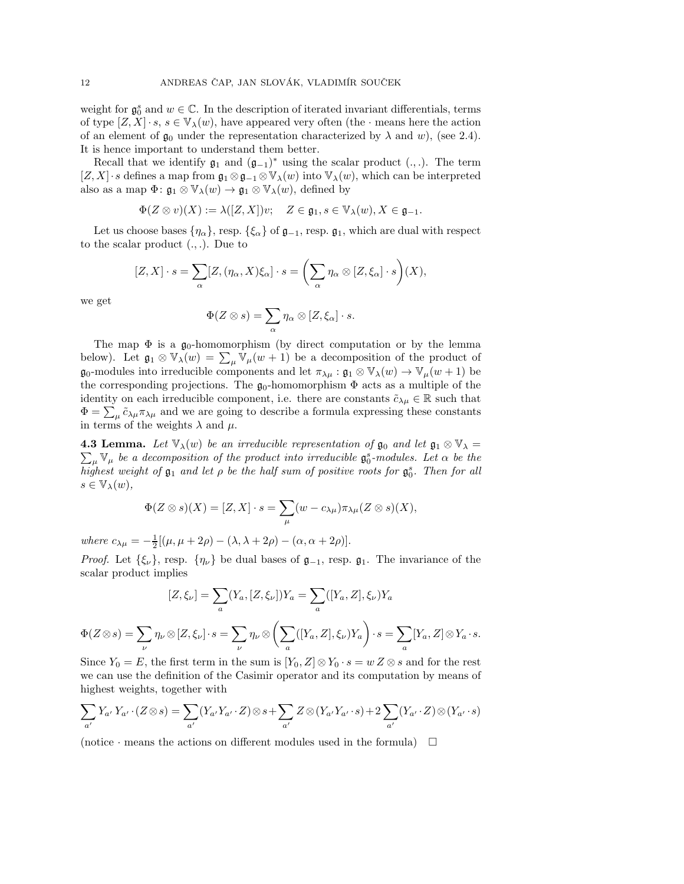weight for  $\mathfrak{g}_0^s$  and  $w \in \mathbb{C}$ . In the description of iterated invariant differentials, terms of type  $[Z, X] \cdot s$ ,  $s \in \mathbb{V}_{\lambda}(w)$ , have appeared very often (the  $\cdot$  means here the action of an element of  $\mathfrak{g}_0$  under the representation characterized by  $\lambda$  and w), (see 2.4). It is hence important to understand them better.

Recall that we identify  $\mathfrak{g}_1$  and  $(\mathfrak{g}_{-1})^*$  using the scalar product  $(.,.)$ . The term  $[Z, X] \cdot s$  defines a map from  $\mathfrak{g}_1 \otimes \mathfrak{g}_{-1} \otimes \mathbb{V}_{\lambda}(w)$  into  $\mathbb{V}_{\lambda}(w)$ , which can be interpreted also as a map  $\Phi: \mathfrak{g}_1 \otimes \mathbb{V}_\lambda(w) \to \mathfrak{g}_1 \otimes \mathbb{V}_\lambda(w)$ , defined by

$$
\Phi(Z\otimes v)(X):=\lambda([Z,X])v;\quad Z\in\mathfrak{g}_1, s\in\mathbb{V}_\lambda(w), X\in\mathfrak{g}_{-1}.
$$

Let us choose bases  $\{\eta_{\alpha}\}\$ , resp.  $\{\xi_{\alpha}\}\$  of  $\mathfrak{g}_{-1}$ , resp.  $\mathfrak{g}_1$ , which are dual with respect to the scalar product  $(.,.)$ . Due to

$$
[Z, X] \cdot s = \sum_{\alpha} [Z, (\eta_{\alpha}, X)\xi_{\alpha}] \cdot s = \left(\sum_{\alpha} \eta_{\alpha} \otimes [Z, \xi_{\alpha}] \cdot s\right)(X),
$$

we get

$$
\Phi(Z\otimes s)=\sum_{\alpha}\eta_{\alpha}\otimes [Z,\xi_{\alpha}]\cdot s.
$$

The map  $\Phi$  is a  $\mathfrak{g}_0$ -homomorphism (by direct computation or by the lemma below). Let  $\mathfrak{g}_1 \otimes \mathbb{V}_\lambda(w) = \sum_{\mu} \mathbb{V}_{\mu}(w+1)$  be a decomposition of the product of  $\mathfrak{g}_0$ -modules into irreducible components and let  $\pi_{\lambda\mu} : \mathfrak{g}_1 \otimes \mathbb{V}_\lambda(w) \to \mathbb{V}_\mu(w+1)$  be the corresponding projections. The  $\mathfrak{g}_0$ -homomorphism  $\Phi$  acts as a multiple of the identity on each irreducible component, i.e. there are constants  $\tilde{c}_{\lambda\mu} \in \mathbb{R}$  such that  $\Phi = \sum_{\mu} \tilde{c}_{\lambda\mu} \pi_{\lambda\mu}$  and we are going to describe a formula expressing these constants in terms of the weights  $\lambda$  and  $\mu$ .

**4.3 Lemma.** Let  $\mathbb{V}_{\lambda}(w)$  be an irreducible representation of  $\mathfrak{g}_0$  and let  $\mathfrak{g}_1 \otimes \mathbb{V}_{\lambda} =$  $\sum_{\mu} \mathbb{V}_{\mu}$  be a decomposition of the product into irreducible  $\mathfrak{g}_0^s$ -modules. Let  $\alpha$  be the highest weight of  $\mathfrak{g}_1$  and let  $\rho$  be the half sum of positive roots for  $\mathfrak{g}_0^s$ . Then for all  $s \in \mathbb{V}_{\lambda}(w),$ 

$$
\Phi(Z \otimes s)(X) = [Z, X] \cdot s = \sum_{\mu} (w - c_{\lambda \mu}) \pi_{\lambda \mu} (Z \otimes s)(X),
$$

where  $c_{\lambda\mu} = -\frac{1}{2}[(\mu, \mu + 2\rho) - (\lambda, \lambda + 2\rho) - (\alpha, \alpha + 2\rho)].$ 

*Proof.* Let  $\{\xi_{\nu}\}\)$ , resp.  $\{\eta_{\nu}\}\$ be dual bases of  $\mathfrak{g}_{-1}$ , resp.  $\mathfrak{g}_1$ . The invariance of the scalar product implies

$$
[Z, \xi_{\nu}] = \sum_{a} (Y_a, [Z, \xi_{\nu}]) Y_a = \sum_{a} ([Y_a, Z], \xi_{\nu}) Y_a
$$
  

$$
\Phi(Z \otimes s) = \sum_{\nu} \eta_{\nu} \otimes [Z, \xi_{\nu}] \cdot s = \sum_{\nu} \eta_{\nu} \otimes \left( \sum_{a} ([Y_a, Z], \xi_{\nu}) Y_a \right) \cdot s = \sum_{a} [Y_a, Z] \otimes Y_a \cdot s.
$$

Since  $Y_0 = E$ , the first term in the sum is  $[Y_0, Z] \otimes Y_0 \cdot s = w Z \otimes s$  and for the rest we can use the definition of the Casimir operator and its computation by means of highest weights, together with

$$
\sum_{a'} Y_{a'} Y_{a'} \cdot (Z \otimes s) = \sum_{a'} (Y_{a'} Y_{a'} \cdot Z) \otimes s + \sum_{a'} Z \otimes (Y_{a'} Y_{a'} \cdot s) + 2 \sum_{a'} (Y_{a'} \cdot Z) \otimes (Y_{a'} \cdot s)
$$

(notice  $\cdot$  means the actions on different modules used in the formula)  $\Box$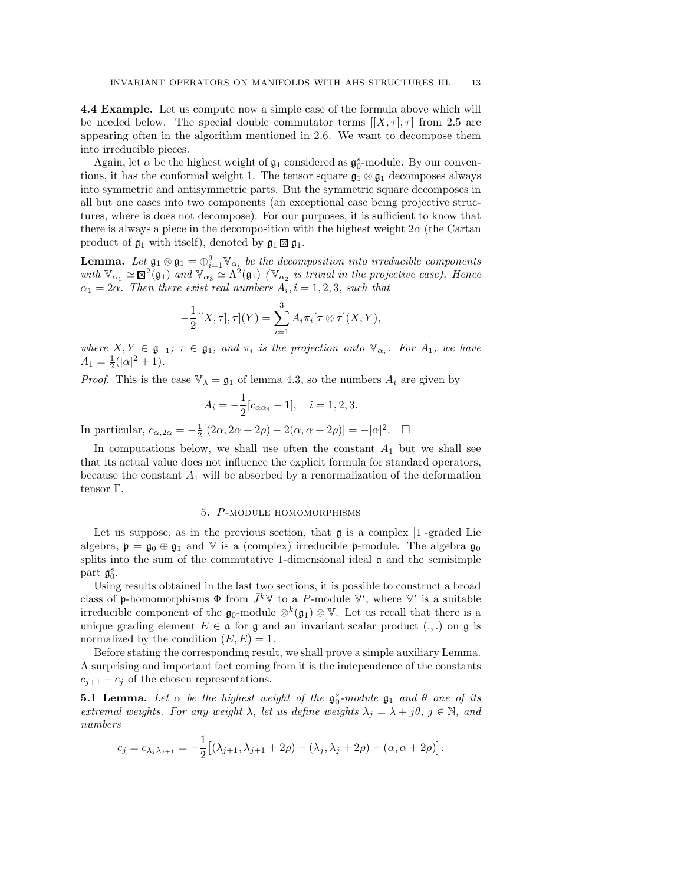4.4 Example. Let us compute now a simple case of the formula above which will be needed below. The special double commutator terms  $[[X, \tau], \tau]$  from 2.5 are appearing often in the algorithm mentioned in 2.6. We want to decompose them into irreducible pieces.

Again, let  $\alpha$  be the highest weight of  $\mathfrak{g}_1$  considered as  $\mathfrak{g}_0^s$ -module. By our conventions, it has the conformal weight 1. The tensor square  $\mathfrak{g}_1 \otimes \mathfrak{g}_1$  decomposes always into symmetric and antisymmetric parts. But the symmetric square decomposes in all but one cases into two components (an exceptional case being projective structures, where is does not decompose). For our purposes, it is sufficient to know that there is always a piece in the decomposition with the highest weight  $2\alpha$  (the Cartan product of  $\mathfrak{g}_1$  with itself), denoted by  $\mathfrak{g}_1 \boxtimes \mathfrak{g}_1$ .

**Lemma.** Let  $\mathfrak{g}_1 \otimes \mathfrak{g}_1 = \bigoplus_{i=1}^3 \mathbb{V}_{\alpha_i}$  be the decomposition into irreducible components with  $\mathbb{V}_{\alpha_1} \simeq \mathbb{S}^2(\mathfrak{g}_1)$  and  $\mathbb{V}_{\alpha_3} \simeq \Lambda^2(\mathfrak{g}_1)$  ( $\mathbb{V}_{\alpha_2}$  is trivial in the projective case). Hence  $\alpha_1 = 2\alpha$ . Then there exist real numbers  $A_i$ ,  $i = 1, 2, 3$ , such that

$$
-\frac{1}{2}[[X,\tau],\tau](Y)=\sum_{i=1}^3 A_i\pi_i[\tau\otimes\tau](X,Y),
$$

where  $X, Y \in \mathfrak{g}_{-1}$ ;  $\tau \in \mathfrak{g}_1$ , and  $\pi_i$  is the projection onto  $\mathbb{V}_{\alpha_i}$ . For  $A_1$ , we have  $A_1 = \frac{1}{2}(|\alpha|^2 + 1).$ 

*Proof.* This is the case  $\mathbb{V}_{\lambda} = \mathfrak{g}_1$  of lemma 4.3, so the numbers  $A_i$  are given by

$$
A_i = -\frac{1}{2}[c_{\alpha\alpha_i} - 1], \quad i = 1, 2, 3.
$$

In particular,  $c_{\alpha,2\alpha} = -\frac{1}{2}[(2\alpha, 2\alpha + 2\rho) - 2(\alpha, \alpha + 2\rho)] = -|\alpha|^2$ .  $\Box$ 

In computations below, we shall use often the constant  $A_1$  but we shall see that its actual value does not influence the explicit formula for standard operators, because the constant  $A_1$  will be absorbed by a renormalization of the deformation tensor Γ.

## 5. P-module homomorphisms

Let us suppose, as in the previous section, that  $\mathfrak g$  is a complex |1|-graded Lie algebra,  $\mathfrak{p} = \mathfrak{g}_0 \oplus \mathfrak{g}_1$  and V is a (complex) irreducible p-module. The algebra  $\mathfrak{g}_0$ splits into the sum of the commutative 1-dimensional ideal  $\alpha$  and the semisimple part  $\mathfrak{g}_0^s$ .

Using results obtained in the last two sections, it is possible to construct a broad class of p-homomorphisms  $\Phi$  from  $\bar{J}^k \mathbb{V}$  to a P-module  $\mathbb{V}'$ , where  $\mathbb{V}'$  is a suitable irreducible component of the  $\mathfrak{g}_0$ -module  $\otimes^k(\mathfrak{g}_1) \otimes \mathbb{V}$ . Let us recall that there is a unique grading element  $E \in \mathfrak{a}$  for g and an invariant scalar product  $(.,.)$  on g is normalized by the condition  $(E, E) = 1$ .

Before stating the corresponding result, we shall prove a simple auxiliary Lemma. A surprising and important fact coming from it is the independence of the constants  $c_{j+1} - c_j$  of the chosen representations.

**5.1 Lemma.** Let  $\alpha$  be the highest weight of the  $\mathfrak{g}_0^s$ -module  $\mathfrak{g}_1$  and  $\theta$  one of its extremal weights. For any weight  $\lambda$ , let us define weights  $\lambda_j = \lambda + j\theta$ ,  $j \in \mathbb{N}$ , and numbers

$$
c_j = c_{\lambda_j \lambda_{j+1}} = -\frac{1}{2} [(\lambda_{j+1}, \lambda_{j+1} + 2\rho) - (\lambda_j, \lambda_j + 2\rho) - (\alpha, \alpha + 2\rho)].
$$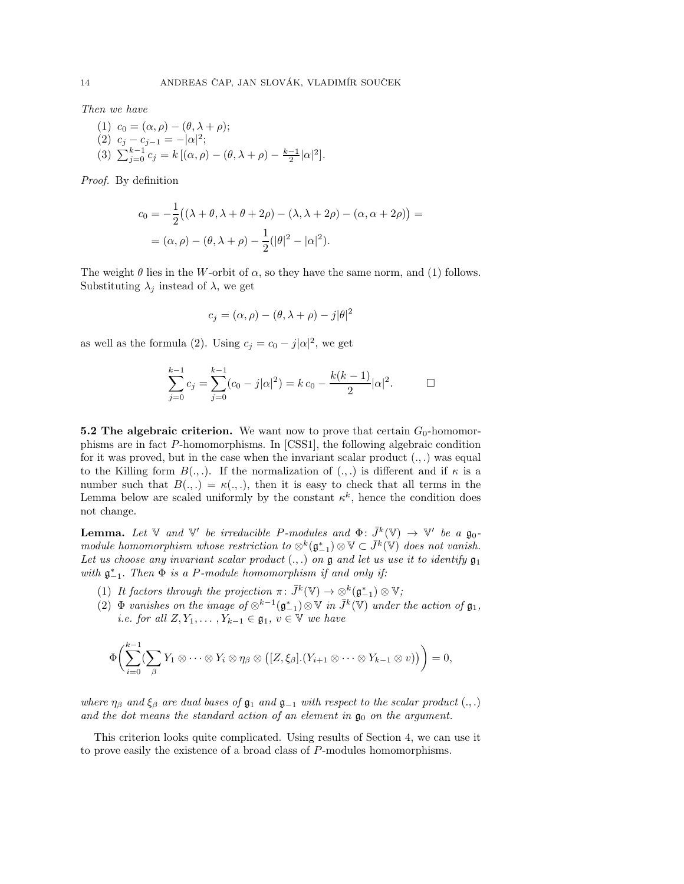Then we have

(1) 
$$
c_0 = (\alpha, \rho) - (\theta, \lambda + \rho);
$$
  
\n(2)  $c_j - c_{j-1} = -|\alpha|^2;$   
\n(3)  $\sum_{j=0}^{k-1} c_j = k [(\alpha, \rho) - (\theta, \lambda + \rho) - \frac{k-1}{2}|\alpha|^2].$ 

Proof. By definition

$$
c_0 = -\frac{1}{2} ((\lambda + \theta, \lambda + \theta + 2\rho) - (\lambda, \lambda + 2\rho) - (\alpha, \alpha + 2\rho)) =
$$
  
= (\alpha, \rho) - (\theta, \lambda + \rho) - \frac{1}{2} (|\theta|^2 - |\alpha|^2).

The weight  $\theta$  lies in the W-orbit of  $\alpha$ , so they have the same norm, and (1) follows. Substituting  $\lambda_j$  instead of  $\lambda$ , we get

$$
c_j = (\alpha, \rho) - (\theta, \lambda + \rho) - j|\theta|^2
$$

as well as the formula (2). Using  $c_j = c_0 - j|\alpha|^2$ , we get

$$
\sum_{j=0}^{k-1} c_j = \sum_{j=0}^{k-1} (c_0 - j|\alpha|^2) = k c_0 - \frac{k(k-1)}{2} |\alpha|^2.
$$

5.2 The algebraic criterion. We want now to prove that certain  $G_0$ -homomorphisms are in fact P-homomorphisms. In [CSS1], the following algebraic condition for it was proved, but in the case when the invariant scalar product  $(.,.)$  was equal to the Killing form  $B(.,.)$ . If the normalization of  $(.,.)$  is different and if  $\kappa$  is a number such that  $B(.,.) = \kappa(.,.)$ , then it is easy to check that all terms in the Lemma below are scaled uniformly by the constant  $\kappa^k$ , hence the condition does not change.

**Lemma.** Let  $\mathbb{V}$  and  $\mathbb{V}'$  be irreducible P-modules and  $\Phi: \bar{J}^k(\mathbb{V}) \to \mathbb{V}'$  be a  $\mathfrak{g}_0$ module homomorphism whose restriction to  $\otimes^k(\mathfrak{g}_{-1}^*)\otimes \mathbb{V}\subset \bar{J}^k(\mathbb{V})$  does not vanish. Let us choose any invariant scalar product  $(.,.)$  on  $\mathfrak g$  and let us use it to identify  $\mathfrak g_1$ with  $\mathfrak{g}_{-1}^*$ . Then  $\Phi$  is a P-module homomorphism if and only if:

- (1) It factors through the projection  $\pi: \bar{J}^k(\mathbb{V}) \to \underset{\sim}{\otimes}^k (\mathfrak{g}_{-1}^*) \otimes \mathbb{V}$ ;
- (2)  $\Phi$  vanishes on the image of  $\otimes^{k-1}(\mathfrak{g}_{-1}^*)\otimes \mathbb{V}$  in  $\bar{J}^k(\mathbb{V})$  under the action of  $\mathfrak{g}_1$ , *i.e. for all*  $Z, Y_1, \ldots, Y_{k-1} \in \mathfrak{g}_1, v \in \mathbb{V}$  we have

$$
\Phi\bigg(\sum_{i=0}^{k-1}\left(\sum_{\beta}Y_1\otimes\cdots\otimes Y_i\otimes\eta_{\beta}\otimes\left([Z,\xi_{\beta}].(Y_{i+1}\otimes\cdots\otimes Y_{k-1}\otimes v)\right)\bigg)=0,
$$

where  $\eta_\beta$  and  $\xi_\beta$  are dual bases of  $\mathfrak{g}_1$  and  $\mathfrak{g}_{-1}$  with respect to the scalar product  $(.,.)$ and the dot means the standard action of an element in  $\mathfrak{g}_0$  on the argument.

This criterion looks quite complicated. Using results of Section 4, we can use it to prove easily the existence of a broad class of P-modules homomorphisms.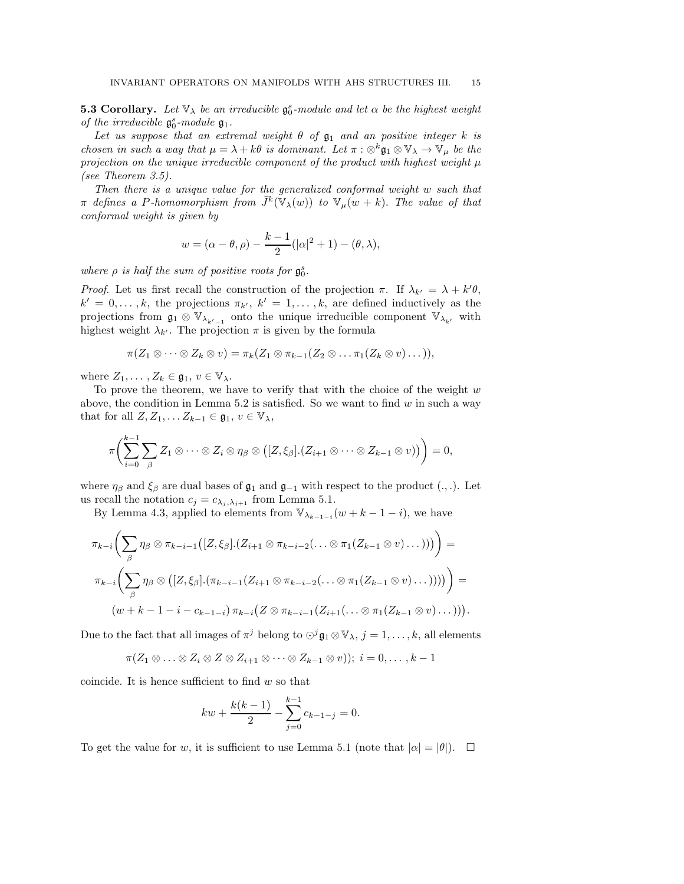**5.3 Corollary.** Let  $\mathbb{V}_{\lambda}$  be an irreducible  $\mathfrak{g}_{0}^{s}$ -module and let  $\alpha$  be the highest weight of the irreducible  $\mathfrak{g}_0^s\text{-module } \mathfrak{g}_1.$ 

Let us suppose that an extremal weight  $\theta$  of  $\mathfrak{g}_1$  and an positive integer k is chosen in such a way that  $\mu = \lambda + k\theta$  is dominant. Let  $\pi : \otimes^k \mathfrak{g}_1 \otimes \mathbb{V}_\lambda \to \mathbb{V}_\mu$  be the projection on the unique irreducible component of the product with highest weight  $\mu$ (see Theorem 3.5).

Then there is a unique value for the generalized conformal weight w such that  $\pi$  defines a P-homomorphism from  $\bar{J}^k(\mathbb{V}_{\lambda}(w))$  to  $\mathbb{V}_{\mu}(w+k)$ . The value of that conformal weight is given by

$$
w = (\alpha - \theta, \rho) - \frac{k-1}{2}(|\alpha|^2 + 1) - (\theta, \lambda),
$$

where  $\rho$  is half the sum of positive roots for  $\mathfrak{g}_0^s$ .

*Proof.* Let us first recall the construction of the projection  $\pi$ . If  $\lambda_{k'} = \lambda + k'\theta$ ,  $k' = 0, \ldots, k$ , the projections  $\pi_{k'}$ ,  $k' = 1, \ldots, k$ , are defined inductively as the projections from  $\mathfrak{g}_1 \otimes \mathbb{V}_{\lambda_{k'-1}}$  onto the unique irreducible component  $\mathbb{V}_{\lambda_{k'}}$  with highest weight  $\lambda_{k'}$ . The projection  $\pi$  is given by the formula

$$
\pi(Z_1\otimes\cdots\otimes Z_k\otimes v)=\pi_k(Z_1\otimes\pi_{k-1}(Z_2\otimes\ldots\pi_1(Z_k\otimes v)\ldots)),
$$

where  $Z_1, \ldots, Z_k \in \mathfrak{g}_1, v \in \mathbb{V}_{\lambda}$ .

To prove the theorem, we have to verify that with the choice of the weight  $w$ above, the condition in Lemma 5.2 is satisfied. So we want to find  $w$  in such a way that for all  $Z, Z_1, \ldots Z_{k-1} \in \mathfrak{g}_1, v \in \mathbb{V}_{\lambda}$ ,

$$
\pi\bigg(\sum_{i=0}^{k-1}\sum_{\beta} Z_1\otimes\cdots\otimes Z_i\otimes\eta_{\beta}\otimes ([Z,\xi_{\beta}].(Z_{i+1}\otimes\cdots\otimes Z_{k-1}\otimes v))\bigg)=0,
$$

where  $\eta_{\beta}$  and  $\xi_{\beta}$  are dual bases of  $\mathfrak{g}_1$  and  $\mathfrak{g}_{-1}$  with respect to the product (., .). Let us recall the notation  $c_j = c_{\lambda_j, \lambda_{j+1}}$  from Lemma 5.1.

By Lemma 4.3, applied to elements from  $\mathbb{V}_{\lambda_{k-1-i}}(w+k-1-i)$ , we have

$$
\pi_{k-i}\left(\sum_{\beta}\eta_{\beta}\otimes\pi_{k-i-1}([Z,\xi_{\beta}].(Z_{i+1}\otimes\pi_{k-i-2}(\ldots\otimes\pi_{1}(Z_{k-1}\otimes v)\ldots)))\right)=
$$
  

$$
\pi_{k-i}\left(\sum_{\beta}\eta_{\beta}\otimes([Z,\xi_{\beta}].(\pi_{k-i-1}(Z_{i+1}\otimes\pi_{k-i-2}(\ldots\otimes\pi_{1}(Z_{k-1}\otimes v)\ldots))))\right)=
$$
  

$$
(w+k-1-i-c_{k-1-i})\pi_{k-i}(Z\otimes\pi_{k-i-1}(Z_{i+1}(\ldots\otimes\pi_{1}(Z_{k-1}\otimes v)\ldots))).
$$

Due to the fact that all images of  $\pi^j$  belong to  $\odot^j \mathfrak{g}_1 \otimes \mathbb{V}_\lambda$ ,  $j = 1, \ldots, k$ , all elements

$$
\pi(Z_1\otimes\ldots\otimes Z_i\otimes Z\otimes Z_{i+1}\otimes\cdots\otimes Z_{k-1}\otimes v));\ i=0,\ldots,k-1
$$

coincide. It is hence sufficient to find  $w$  so that

$$
kw + \frac{k(k-1)}{2} - \sum_{j=0}^{k-1} c_{k-1-j} = 0.
$$

To get the value for w, it is sufficient to use Lemma 5.1 (note that  $|\alpha| = |\theta|$ ).  $\square$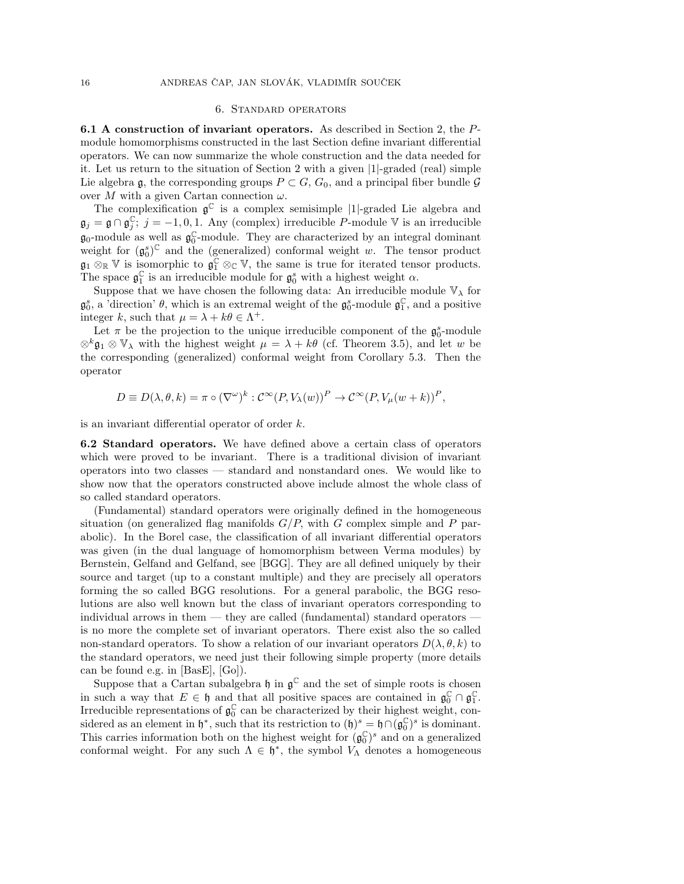## 6. Standard operators

6.1 A construction of invariant operators. As described in Section 2, the Pmodule homomorphisms constructed in the last Section define invariant differential operators. We can now summarize the whole construction and the data needed for it. Let us return to the situation of Section 2 with a given |1|-graded (real) simple Lie algebra g, the corresponding groups  $P \subset G$ ,  $G_0$ , and a principal fiber bundle  $\mathcal G$ over M with a given Cartan connection  $\omega$ .

The complexification  $\mathfrak{g}^{\mathbb{C}}$  is a complex semisimple |1|-graded Lie algebra and  $\mathfrak{g}_j = \mathfrak{g} \cap \mathfrak{g}_j^{\mathbb{C}}$ ;  $j = -1, 0, 1$ . Any (complex) irreducible P-module V is an irreducible  $\mathfrak{g}_0$ -module as well as  $\mathfrak{g}_0^{\mathbb{C}}$ -module. They are characterized by an integral dominant weight for  $(\mathfrak{g}_0^s)^{\mathbb{C}}$  and the (generalized) conformal weight w. The tensor product  $\mathfrak{g}_1 \otimes_{\mathbb{R}} V$  is isomorphic to  $\mathfrak{g}_1^{\mathbb{C}} \otimes_{\mathbb{C}} V$ , the same is true for iterated tensor products. The space  $\mathfrak{g}_1^{\mathbb{C}}$  is an irreducible module for  $\mathfrak{g}_0^s$  with a highest weight  $\alpha$ .

Suppose that we have chosen the following data: An irreducible module  $\mathbb{V}_{\lambda}$  for  $\mathfrak{g}_0^s$ , a direction'  $\theta$ , which is an extremal weight of the  $\mathfrak{g}_0^s$ -module  $\mathfrak{g}_1^{\mathbb{C}}$ , and a positive integer k, such that  $\mu = \lambda + k\theta \in \Lambda^+$ .

Let  $\pi$  be the projection to the unique irreducible component of the  $\mathfrak{g}_0^s$ -module  $\otimes^k \mathfrak{g}_1 \otimes \mathbb{V}_\lambda$  with the highest weight  $\mu = \lambda + k\theta$  (cf. Theorem 3.5), and let w be the corresponding (generalized) conformal weight from Corollary 5.3. Then the operator

$$
D \equiv D(\lambda, \theta, k) = \pi \circ (\nabla^{\omega})^k : C^{\infty}(P, V_{\lambda}(w))^P \to C^{\infty}(P, V_{\mu}(w+k))^P,
$$

is an invariant differential operator of order k.

6.2 Standard operators. We have defined above a certain class of operators which were proved to be invariant. There is a traditional division of invariant operators into two classes — standard and nonstandard ones. We would like to show now that the operators constructed above include almost the whole class of so called standard operators.

(Fundamental) standard operators were originally defined in the homogeneous situation (on generalized flag manifolds  $G/P$ , with G complex simple and P parabolic). In the Borel case, the classification of all invariant differential operators was given (in the dual language of homomorphism between Verma modules) by Bernstein, Gelfand and Gelfand, see [BGG]. They are all defined uniquely by their source and target (up to a constant multiple) and they are precisely all operators forming the so called BGG resolutions. For a general parabolic, the BGG resolutions are also well known but the class of invariant operators corresponding to individual arrows in them — they are called (fundamental) standard operators is no more the complete set of invariant operators. There exist also the so called non-standard operators. To show a relation of our invariant operators  $D(\lambda, \theta, k)$  to the standard operators, we need just their following simple property (more details can be found e.g. in [BasE], [Go]).

Suppose that a Cartan subalgebra  $\mathfrak h$  in  $\mathfrak g^{\mathbb C}$  and the set of simple roots is chosen in such a way that  $E \in \mathfrak{h}$  and that all positive spaces are contained in  $\mathfrak{g}_0^{\mathbb{C}} \cap \mathfrak{g}_1^{\mathbb{C}}$ . Irreducible representations of  $\mathfrak{g}_0^{\mathbb{C}}$  can be characterized by their highest weight, considered as an element in  $\mathfrak{h}^*$ , such that its restriction to  $(\mathfrak{h})^s = \mathfrak{h} \cap (\mathfrak{g}_0^{\mathbb{C}})^s$  is dominant. This carries information both on the highest weight for  $(\mathfrak{g}_0^{\mathbb{C}})^s$  and on a generalized conformal weight. For any such  $\Lambda \in \mathfrak{h}^*$ , the symbol  $V_{\Lambda}$  denotes a homogeneous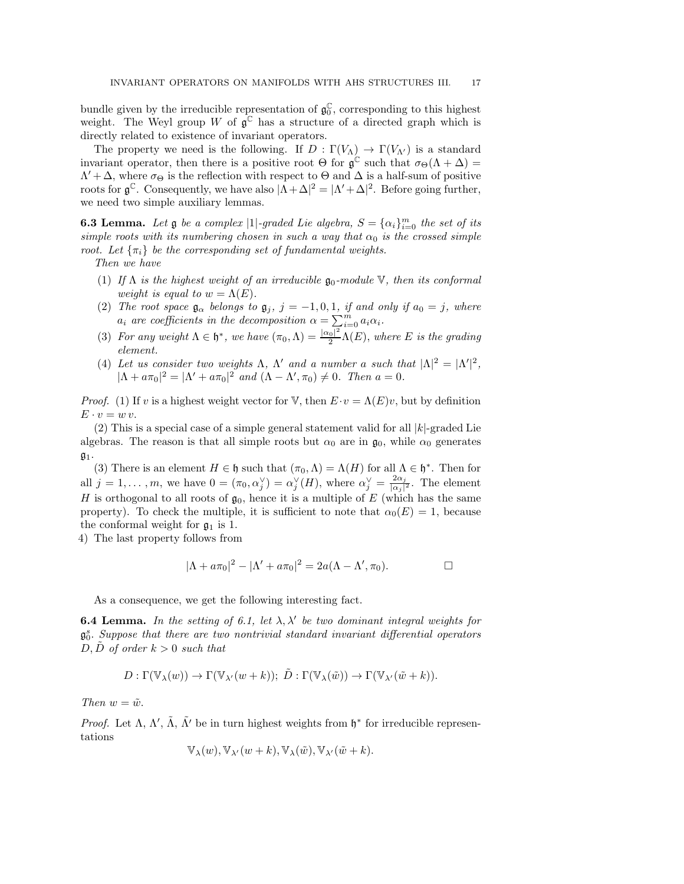bundle given by the irreducible representation of  $\mathfrak{g}_0^{\mathbb{C}}$ , corresponding to this highest weight. The Weyl group W of  $\mathfrak{g}^{\mathbb{C}}$  has a structure of a directed graph which is directly related to existence of invariant operators.

The property we need is the following. If  $D : \Gamma(V_{\Lambda}) \to \Gamma(V_{\Lambda'})$  is a standard invariant operator, then there is a positive root  $\Theta$  for  $\mathfrak{g}^{\mathbb{C}}$  such that  $\sigma_{\Theta}(\Lambda + \Delta) =$  $\Lambda' + \Delta$ , where  $\sigma_{\Theta}$  is the reflection with respect to  $\Theta$  and  $\Delta$  is a half-sum of positive roots for  $\mathfrak{g}^{\mathbb{C}}$ . Consequently, we have also  $|\Lambda + \Delta|^2 = |\Lambda' + \Delta|^2$ . Before going further, we need two simple auxiliary lemmas.

**6.3 Lemma.** Let  $\mathfrak{g}$  be a complex  $|1|$ -graded Lie algebra,  $S = {\alpha_i}_{i=0}^m$  the set of its simple roots with its numbering chosen in such a way that  $\alpha_0$  is the crossed simple root. Let  $\{\pi_i\}$  be the corresponding set of fundamental weights.

Then we have

- (1) If  $\Lambda$  is the highest weight of an irreducible  $\mathfrak{g}_0$ -module  $\mathbb{V}$ , then its conformal weight is equal to  $w = \Lambda(E)$ .
- (2) The root space  $\mathfrak{g}_{\alpha}$  belongs to  $\mathfrak{g}_j$ ,  $j = -1, 0, 1$ , if and only if  $a_0 = j$ , where  $a_i$  are coefficients in the decomposition  $\alpha = \sum_{i=0}^{m} a_i \alpha_i$ .
- (3) For any weight  $\Lambda \in \mathfrak{h}^*$ , we have  $(\pi_0, \Lambda) = \frac{|\alpha_0|^2}{2}$  $\frac{1}{2} \Lambda(E)$ , where E is the grading element.
- (4) Let us consider two weights  $\Lambda$ ,  $\Lambda'$  and a number a such that  $|\Lambda|^2 = |\Lambda'|^2$ ,  $|\Lambda + a\pi_0|^2 = |\Lambda' + a\pi_0|^2$  and  $(\Lambda - \Lambda', \pi_0) \neq 0$ . Then  $a = 0$ .

*Proof.* (1) If v is a highest weight vector for V, then  $E \cdot v = \Lambda(E)v$ , but by definition  $E \cdot v = w v.$ 

(2) This is a special case of a simple general statement valid for all  $|k|$ -graded Lie algebras. The reason is that all simple roots but  $\alpha_0$  are in  $\mathfrak{g}_0$ , while  $\alpha_0$  generates  $\mathfrak{g}_1$ .

(3) There is an element  $H \in \mathfrak{h}$  such that  $(\pi_0, \Lambda) = \Lambda(H)$  for all  $\Lambda \in \mathfrak{h}^*$ . Then for all  $j = 1, ..., m$ , we have  $0 = (\pi_0, \alpha_j^{\vee}) = \alpha_j^{\vee}(H)$ , where  $\alpha_j^{\vee} = \frac{2\alpha_j}{|\alpha_j|}$  $\frac{2\alpha_j}{|\alpha_j|^2}$ . The element H is orthogonal to all roots of  $\mathfrak{g}_0$ , hence it is a multiple of E (which has the same property). To check the multiple, it is sufficient to note that  $\alpha_0(E) = 1$ , because the conformal weight for  $\mathfrak{g}_1$  is 1.

4) The last property follows from

$$
|\Lambda + a\pi_0|^2 - |\Lambda' + a\pi_0|^2 = 2a(\Lambda - \Lambda', \pi_0).
$$

As a consequence, we get the following interesting fact.

**6.4 Lemma.** In the setting of 6.1, let  $\lambda$ ,  $\lambda'$  be two dominant integral weights for  $\mathfrak{g}_0^s$ . Suppose that there are two nontrivial standard invariant differential operators  $D, D$  of order  $k > 0$  such that

$$
D: \Gamma(\mathbb{V}_{\lambda}(w)) \to \Gamma(\mathbb{V}_{\lambda'}(w+k)); \ \tilde{D}: \Gamma(\mathbb{V}_{\lambda}(\tilde{w})) \to \Gamma(\mathbb{V}_{\lambda'}(\tilde{w}+k)).
$$

Then  $w = \tilde{w}$ .

Proof. Let  $\Lambda$ ,  $\Lambda'$ ,  $\tilde{\Lambda}$ ,  $\tilde{\Lambda}'$  be in turn highest weights from  $\mathfrak{h}^*$  for irreducible representations

$$
\mathbb{V}_{\lambda}(w), \mathbb{V}_{\lambda'}(w+k), \mathbb{V}_{\lambda}(\tilde{w}), \mathbb{V}_{\lambda'}(\tilde{w}+k).
$$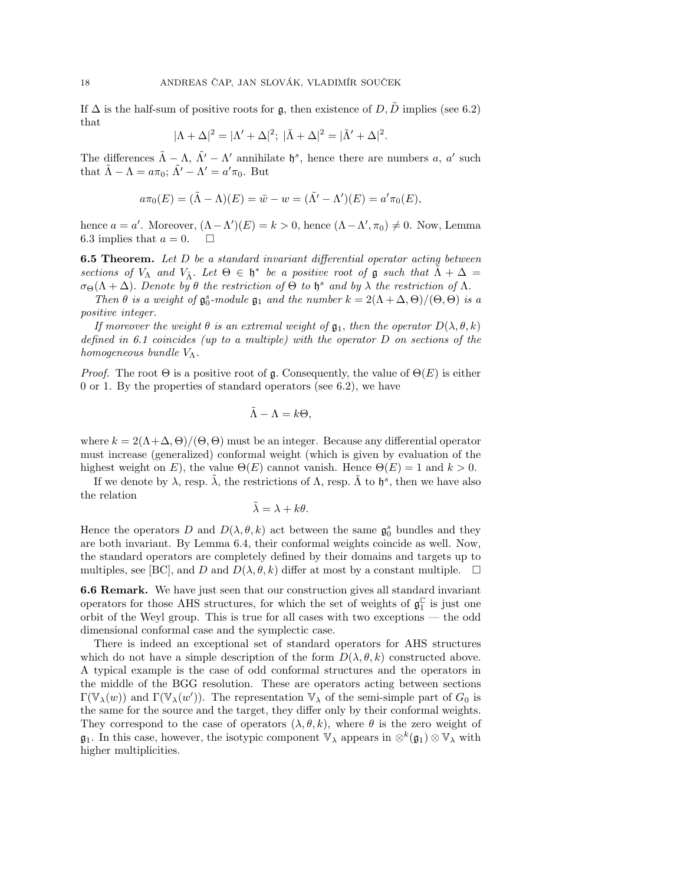If  $\Delta$  is the half-sum of positive roots for g, then existence of  $D, \tilde{D}$  implies (see 6.2) that

$$
|\Lambda + \Delta|^2 = |\Lambda' + \Delta|^2; \ |\tilde{\Lambda} + \Delta|^2 = |\tilde{\Lambda}' + \Delta|^2.
$$

The differences  $\tilde{\Lambda} - \Lambda$ ,  $\tilde{\Lambda}' - \Lambda'$  annihilate  $\mathfrak{h}^s$ , hence there are numbers a, a' such that  $\tilde{\Lambda} - \Lambda = a\pi_0$ ;  $\tilde{\Lambda}' - \Lambda' = a'\pi_0$ . But

$$
a\pi_0(E) = (\tilde{\Lambda} - \Lambda)(E) = \tilde{w} - w = (\tilde{\Lambda}' - \Lambda')(E) = a'\pi_0(E),
$$

hence  $a = a'$ . Moreover,  $(\Lambda - \Lambda')(E) = k > 0$ , hence  $(\Lambda - \Lambda', \pi_0) \neq 0$ . Now, Lemma 6.3 implies that  $a = 0$ .  $\Box$ 

**6.5 Theorem.** Let D be a standard invariant differential operator acting between sections of  $V_{\Lambda}$  and  $V_{\tilde{\Lambda}}$ . Let  $\Theta \in \mathfrak{h}^*$  be a positive root of  $\mathfrak g$  such that  $\tilde{\Lambda} + \Delta =$  $\sigma_{\Theta}(\Lambda + \Delta)$ . Denote by  $\theta$  the restriction of  $\Theta$  to  $\mathfrak{h}^s$  and by  $\lambda$  the restriction of  $\Lambda$ .

Then  $\theta$  is a weight of  $\mathfrak{g}_0^s$ -module  $\mathfrak{g}_1$  and the number  $k = 2(\Lambda + \Delta, \Theta)/(\Theta, \Theta)$  is a positive integer.

If moreover the weight  $\theta$  is an extremal weight of  $\mathfrak{g}_1$ , then the operator  $D(\lambda, \theta, k)$ defined in 6.1 coincides (up to a multiple) with the operator D on sections of the homogeneous bundle  $V_{\Lambda}$ .

*Proof.* The root  $\Theta$  is a positive root of g. Consequently, the value of  $\Theta(E)$  is either 0 or 1. By the properties of standard operators (see 6.2), we have

$$
\tilde{\Lambda} - \Lambda = k\Theta,
$$

where  $k = 2(\Lambda + \Delta, \Theta)/(\Theta, \Theta)$  must be an integer. Because any differential operator must increase (generalized) conformal weight (which is given by evaluation of the highest weight on E), the value  $\Theta(E)$  cannot vanish. Hence  $\Theta(E) = 1$  and  $k > 0$ .

If we denote by  $\lambda$ , resp.  $\tilde{\lambda}$ , the restrictions of  $\Lambda$ , resp.  $\tilde{\Lambda}$  to  $\mathfrak{h}^s$ , then we have also the relation

$$
\tilde{\lambda} = \lambda + k\theta.
$$

Hence the operators D and  $D(\lambda, \theta, k)$  act between the same  $\mathfrak{g}_0^s$  bundles and they are both invariant. By Lemma 6.4, their conformal weights coincide as well. Now, the standard operators are completely defined by their domains and targets up to multiples, see [BC], and D and  $D(\lambda, \theta, k)$  differ at most by a constant multiple.  $\Box$ 

6.6 Remark. We have just seen that our construction gives all standard invariant operators for those AHS structures, for which the set of weights of  $\mathfrak{g}_1^{\mathbb{C}}$  is just one orbit of the Weyl group. This is true for all cases with two exceptions — the odd dimensional conformal case and the symplectic case.

There is indeed an exceptional set of standard operators for AHS structures which do not have a simple description of the form  $D(\lambda, \theta, k)$  constructed above. A typical example is the case of odd conformal structures and the operators in the middle of the BGG resolution. These are operators acting between sections  $\Gamma(\mathbb{V}_{\lambda}(w))$  and  $\Gamma(\mathbb{V}_{\lambda}(w'))$ . The representation  $\mathbb{V}_{\lambda}$  of the semi-simple part of  $G_0$  is the same for the source and the target, they differ only by their conformal weights. They correspond to the case of operators  $(\lambda, \theta, k)$ , where  $\theta$  is the zero weight of  $\mathfrak{g}_1$ . In this case, however, the isotypic component  $\mathbb{V}_{\lambda}$  appears in  $\otimes^k(\mathfrak{g}_1) \otimes \mathbb{V}_{\lambda}$  with higher multiplicities.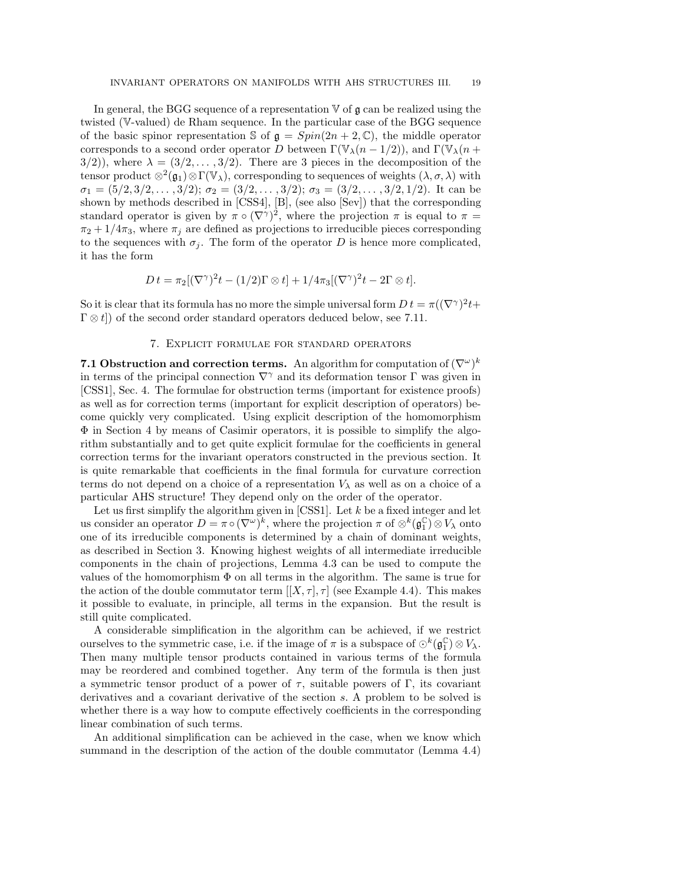In general, the BGG sequence of a representation  $\nabla$  of  $\mathfrak g$  can be realized using the twisted (V-valued) de Rham sequence. In the particular case of the BGG sequence of the basic spinor representation S of  $\mathfrak{g} = Spin(2n + 2, \mathbb{C})$ , the middle operator corresponds to a second order operator D between  $\Gamma(\mathbb{V}_{\lambda}(n-1/2))$ , and  $\Gamma(\mathbb{V}_{\lambda}(n+1/2))$  $3/2$ ), where  $\lambda = (3/2, \ldots, 3/2)$ . There are 3 pieces in the decomposition of the tensor product  $\otimes^2(\mathfrak{g}_1)\otimes\Gamma(\mathbb{V}_{\lambda})$ , corresponding to sequences of weights  $(\lambda, \sigma, \lambda)$  with  $\sigma_1 = (5/2, 3/2, \ldots, 3/2); \sigma_2 = (3/2, \ldots, 3/2); \sigma_3 = (3/2, \ldots, 3/2, 1/2).$  It can be shown by methods described in [CSS4], [B], (see also [Sev]) that the corresponding standard operator is given by  $\pi \circ (\nabla^{\gamma})^2$ , where the projection  $\pi$  is equal to  $\pi =$  $\pi_2 + 1/4\pi_3$ , where  $\pi_j$  are defined as projections to irreducible pieces corresponding to the sequences with  $\sigma_j$ . The form of the operator D is hence more complicated, it has the form

$$
D t = \pi_2 [(\nabla^\gamma)^2 t - (1/2) \Gamma \otimes t] + 1/4\pi_3 [(\nabla^\gamma)^2 t - 2\Gamma \otimes t].
$$

So it is clear that its formula has no more the simple universal form  $D t = \pi ((\nabla^{\gamma})^2 t +$  $\Gamma \otimes t$ ) of the second order standard operators deduced below, see 7.11.

## 7. Explicit formulae for standard operators

7.1 Obstruction and correction terms. An algorithm for computation of  $(\nabla^{\omega})^k$ in terms of the principal connection  $\nabla^{\gamma}$  and its deformation tensor  $\Gamma$  was given in [CSS1], Sec. 4. The formulae for obstruction terms (important for existence proofs) as well as for correction terms (important for explicit description of operators) become quickly very complicated. Using explicit description of the homomorphism Φ in Section 4 by means of Casimir operators, it is possible to simplify the algorithm substantially and to get quite explicit formulae for the coefficients in general correction terms for the invariant operators constructed in the previous section. It is quite remarkable that coefficients in the final formula for curvature correction terms do not depend on a choice of a representation  $V_{\lambda}$  as well as on a choice of a particular AHS structure! They depend only on the order of the operator.

Let us first simplify the algorithm given in [CSS1]. Let  $k$  be a fixed integer and let us consider an operator  $D = \pi \circ (\nabla^{\omega})^k$ , where the projection  $\pi$  of  $\otimes^k (\mathfrak{g}_1^{\mathbb{C}}) \otimes V_\lambda$  onto one of its irreducible components is determined by a chain of dominant weights, as described in Section 3. Knowing highest weights of all intermediate irreducible components in the chain of projections, Lemma 4.3 can be used to compute the values of the homomorphism  $\Phi$  on all terms in the algorithm. The same is true for the action of the double commutator term  $[[X, \tau], \tau]$  (see Example 4.4). This makes it possible to evaluate, in principle, all terms in the expansion. But the result is still quite complicated.

A considerable simplification in the algorithm can be achieved, if we restrict ourselves to the symmetric case, i.e. if the image of  $\pi$  is a subspace of  $\odot^k(\mathfrak{g}_1^{\mathbb{C}}) \otimes V_\lambda$ . Then many multiple tensor products contained in various terms of the formula may be reordered and combined together. Any term of the formula is then just a symmetric tensor product of a power of  $\tau$ , suitable powers of Γ, its covariant derivatives and a covariant derivative of the section s. A problem to be solved is whether there is a way how to compute effectively coefficients in the corresponding linear combination of such terms.

An additional simplification can be achieved in the case, when we know which summand in the description of the action of the double commutator (Lemma 4.4)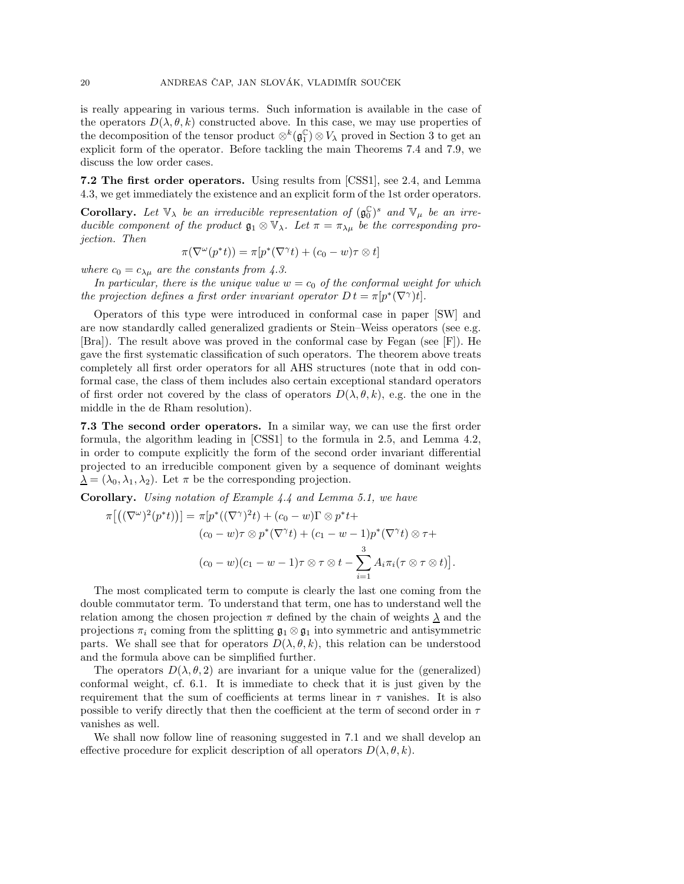is really appearing in various terms. Such information is available in the case of the operators  $D(\lambda, \theta, k)$  constructed above. In this case, we may use properties of the decomposition of the tensor product  $\otimes^k(\mathfrak{g}_1^{\mathbb{C}}) \otimes V_\lambda$  proved in Section 3 to get an explicit form of the operator. Before tackling the main Theorems 7.4 and 7.9, we discuss the low order cases.

7.2 The first order operators. Using results from [CSS1], see 2.4, and Lemma 4.3, we get immediately the existence and an explicit form of the 1st order operators.

**Corollary.** Let  $\mathbb{V}_{\lambda}$  be an irreducible representation of  $(\mathfrak{g}_{0}^{\mathbb{C}})^{s}$  and  $\mathbb{V}_{\mu}$  be an irreducible component of the product  $\mathfrak{g}_1 \otimes \mathbb{V}_{\lambda}$ . Let  $\pi = \pi_{\lambda\mu}$  be the corresponding projection. Then

$$
\pi(\nabla^{\omega}(p^*t)) = \pi[p^*(\nabla^{\gamma}t) + (c_0 - w)\tau \otimes t]
$$

where  $c_0 = c_{\lambda\mu}$  are the constants from 4.3.

In particular, there is the unique value  $w = c_0$  of the conformal weight for which the projection defines a first order invariant operator  $D t = \pi [p^*(\nabla^{\gamma})t]$ .

Operators of this type were introduced in conformal case in paper [SW] and are now standardly called generalized gradients or Stein–Weiss operators (see e.g. [Bra]). The result above was proved in the conformal case by Fegan (see [F]). He gave the first systematic classification of such operators. The theorem above treats completely all first order operators for all AHS structures (note that in odd conformal case, the class of them includes also certain exceptional standard operators of first order not covered by the class of operators  $D(\lambda, \theta, k)$ , e.g. the one in the middle in the de Rham resolution).

7.3 The second order operators. In a similar way, we can use the first order formula, the algorithm leading in [CSS1] to the formula in 2.5, and Lemma 4.2, in order to compute explicitly the form of the second order invariant differential projected to an irreducible component given by a sequence of dominant weights  $\lambda = (\lambda_0, \lambda_1, \lambda_2)$ . Let  $\pi$  be the corresponding projection.

Corollary. Using notation of Example 4.4 and Lemma 5.1, we have

$$
\pi\big[\big((\nabla^{\omega})^2(p^*t)\big)\big] = \pi[p^*\big((\nabla^{\gamma})^2t\big) + (c_0 - w)\Gamma \otimes p^*t +
$$
  

$$
(c_0 - w)\tau \otimes p^*\big(\nabla^{\gamma}t\big) + (c_1 - w - 1)p^*\big(\nabla^{\gamma}t\big) \otimes \tau +
$$
  

$$
(c_0 - w)(c_1 - w - 1)\tau \otimes \tau \otimes t - \sum_{i=1}^3 A_i \pi_i(\tau \otimes \tau \otimes t)\big]
$$

.

The most complicated term to compute is clearly the last one coming from the double commutator term. To understand that term, one has to understand well the relation among the chosen projection  $\pi$  defined by the chain of weights  $\lambda$  and the projections  $\pi_i$  coming from the splitting  $\mathfrak{g}_1 \otimes \mathfrak{g}_1$  into symmetric and antisymmetric parts. We shall see that for operators  $D(\lambda, \theta, k)$ , this relation can be understood and the formula above can be simplified further.

The operators  $D(\lambda, \theta, 2)$  are invariant for a unique value for the (generalized) conformal weight, cf. 6.1. It is immediate to check that it is just given by the requirement that the sum of coefficients at terms linear in  $\tau$  vanishes. It is also possible to verify directly that then the coefficient at the term of second order in  $\tau$ vanishes as well.

We shall now follow line of reasoning suggested in 7.1 and we shall develop an effective procedure for explicit description of all operators  $D(\lambda, \theta, k)$ .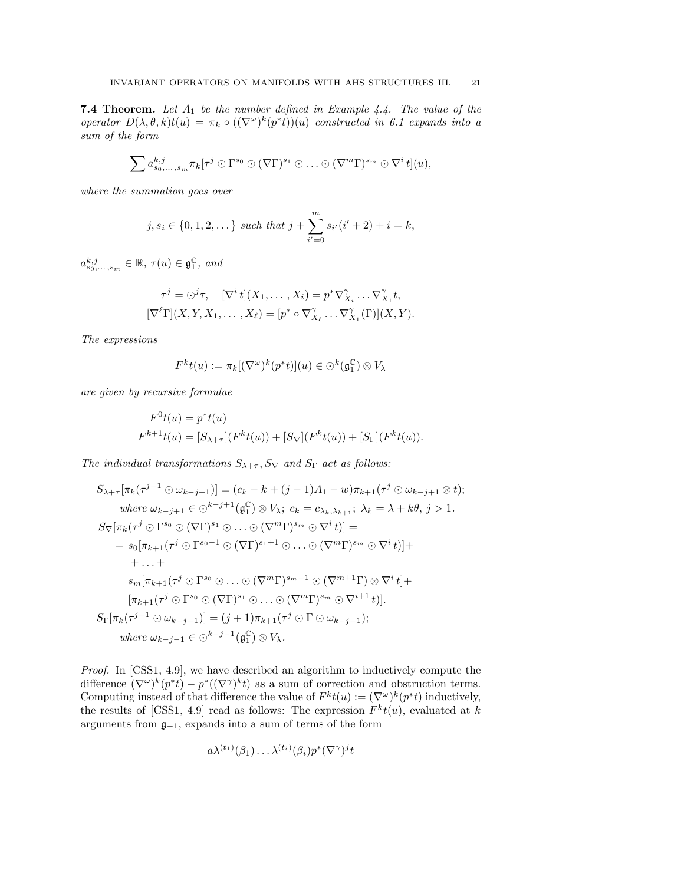**7.4 Theorem.** Let  $A_1$  be the number defined in Example 4.4. The value of the operator  $D(\lambda, \theta, k)t(u) = \pi_k \circ ((\nabla^{\omega})^k (p^*t))(u)$  constructed in 6.1 expands into a sum of the form

$$
\sum a_{s_0,\ldots,s_m}^{k,j} \pi_k[\tau^j \odot \Gamma^{s_0} \odot (\nabla \Gamma)^{s_1} \odot \ldots \odot (\nabla^m \Gamma)^{s_m} \odot \nabla^i t](u),
$$

where the summation goes over

$$
j, s_i \in \{0, 1, 2, \dots\} \text{ such that } j + \sum_{i'=0}^{m} s_{i'}(i'+2) + i = k,
$$

 $a_{s_0,\ldots,s_m}^{k,j} \in \mathbb{R}, \tau(u) \in \mathfrak{g}_1^{\mathbb{C}}, \text{ and}$ 

$$
\tau^j = \bigcirc^j \tau, \quad [\nabla^i t](X_1, \dots, X_i) = p^* \nabla^{\gamma}_{X_i} \dots \nabla^{\gamma}_{X_1} t,
$$

$$
[\nabla^\ell \Gamma](X, Y, X_1, \dots, X_\ell) = [p^* \circ \nabla^{\gamma}_{X_\ell} \dots \nabla^{\gamma}_{X_1} (\Gamma)](X, Y).
$$

The expressions

$$
F^k t(u) := \pi_k [(\nabla^\omega)^k (p^*t)](u) \in \bigcirc^k (\mathfrak{g}_1^{\mathbb{C}}) \otimes V_\lambda
$$

are given by recursive formulae

$$
F^{0}t(u) = p^{*}t(u)
$$
  

$$
F^{k+1}t(u) = [S_{\lambda+\tau}](F^{k}t(u)) + [S_{\nabla}](F^{k}t(u)) + [S_{\Gamma}](F^{k}t(u)).
$$

The individual transformations  $S_{\lambda+\tau}$ ,  $S_{\nabla}$  and  $S_{\Gamma}$  act as follows:

$$
S_{\lambda+\tau}[\pi_k(\tau^{j-1}\odot\omega_{k-j+1})]=(c_k-k+(j-1)A_1-\omega)\pi_{k+1}(\tau^j\odot\omega_{k-j+1}\otimes t);
$$
  
\nwhere  $\omega_{k-j+1}\in\odot^{k-j+1}(\mathfrak{g}_1^{\mathbb{C}})\otimes V_{\lambda}$ ;  $c_k=c_{\lambda_k,\lambda_{k+1}}$ ;  $\lambda_k=\lambda+k\theta$ ,  $j>1$ .  
\n
$$
S_{\nabla}[\pi_k(\tau^j\odot\Gamma^{s_0}\odot(\nabla\Gamma)^{s_1}\odot\ldots\odot(\nabla^m\Gamma)^{s_m}\odot\nabla^i t)]=
$$
  
\n
$$
=s_0[\pi_{k+1}(\tau^j\odot\Gamma^{s_0-1}\odot(\nabla\Gamma)^{s_1+1}\odot\ldots\odot(\nabla^m\Gamma)^{s_m}\odot\nabla^i t)]+
$$
  
\n
$$
+\ldots+
$$
  
\n
$$
s_m[\pi_{k+1}(\tau^j\odot\Gamma^{s_0}\odot\ldots\odot(\nabla^m\Gamma)^{s_m-1}\odot(\nabla^{m+1}\Gamma)\otimes\nabla^i t]+\n[\pi_{k+1}(\tau^j\odot\Gamma^{s_0}\odot(\nabla\Gamma)^{s_1}\odot\ldots\odot(\nabla^m\Gamma)^{s_m}\odot\nabla^{i+1} t)].
$$
  
\n
$$
S_{\Gamma}[\pi_k(\tau^{j+1}\odot\omega_{k-j-1})]=(j+1)\pi_{k+1}(\tau^j\odot\Gamma\odot\omega_{k-j-1});
$$
  
\nwhere  $\omega_{k-j-1}\in\odot^{k-j-1}(\mathfrak{g}_1^{\mathbb{C}})\otimes V_{\lambda}$ .

Proof. In [CSS1, 4.9], we have described an algorithm to inductively compute the difference  $(\nabla^{\omega})^k (p^*t) - p^*((\nabla^{\gamma})^k t)$  as a sum of correction and obstruction terms. Computing instead of that difference the value of  $F^k t(u) := (\nabla^\omega)^k (p^* t)$  inductively, the results of [CSS1, 4.9] read as follows: The expression  $F^k t(u)$ , evaluated at k arguments from g−1, expands into a sum of terms of the form

$$
a\lambda^{(t_1)}(\beta_1)\ldots\lambda^{(t_i)}(\beta_i)p^*(\nabla^\gamma)^jt
$$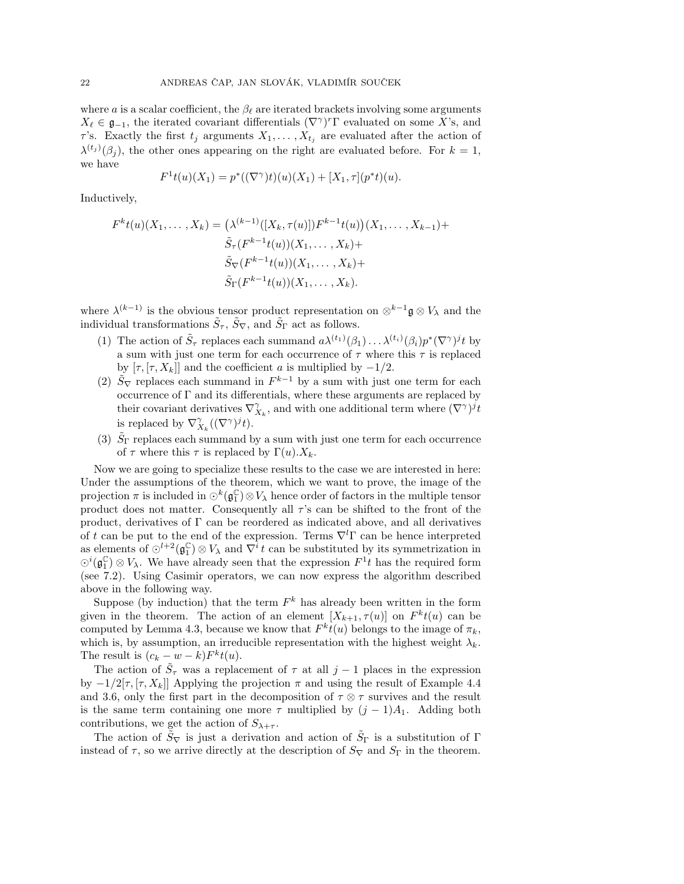where a is a scalar coefficient, the  $\beta_{\ell}$  are iterated brackets involving some arguments  $X_{\ell} \in \mathfrak{g}_{-1}$ , the iterated covariant differentials  $(\nabla^{\gamma})^r \Gamma$  evaluated on some X's, and  $\tau$ 's. Exactly the first  $t_j$  arguments  $X_1, \ldots, X_{t_j}$  are evaluated after the action of  $\lambda^{(t_j)}(\beta_j)$ , the other ones appearing on the right are evaluated before. For  $k=1$ , we have

$$
F^{1}t(u)(X_{1}) = p^{*}((\nabla^{\gamma})t)(u)(X_{1}) + [X_{1}, \tau](p^{*}t)(u).
$$

Inductively,

$$
F^{k}t(u)(X_{1},...,X_{k}) = (\lambda^{(k-1)}([X_{k},\tau(u)])F^{k-1}t(u))(X_{1},...,X_{k-1}) +
$$
  

$$
\tilde{S}_{\tau}(F^{k-1}t(u))(X_{1},...,X_{k}) +
$$
  

$$
\tilde{S}_{\nabla}(F^{k-1}t(u))(X_{1},...,X_{k}) +
$$
  

$$
\tilde{S}_{\Gamma}(F^{k-1}t(u))(X_{1},...,X_{k}).
$$

where  $\lambda^{(k-1)}$  is the obvious tensor product representation on  $\otimes^{k-1} \mathfrak{g} \otimes V_\lambda$  and the individual transformations  $\tilde{S}_{\tau}$ ,  $\tilde{S}_{\nabla}$ , and  $\tilde{S}_{\Gamma}$  act as follows.

- (1) The action of  $\tilde{S}_{\tau}$  replaces each summand  $a\lambda^{(t_1)}(\beta_1)\ldots\lambda^{(t_i)}(\beta_i)p^*(\nabla^{\gamma})^j t$  by a sum with just one term for each occurrence of  $\tau$  where this  $\tau$  is replaced by  $[\tau, [\tau, X_k]]$  and the coefficient a is multiplied by  $-1/2$ .
- (2)  $\tilde{S}_{\nabla}$  replaces each summand in  $F^{k-1}$  by a sum with just one term for each occurrence of  $\Gamma$  and its differentials, where these arguments are replaced by their covariant derivatives  $\nabla_{X_k}^{\gamma}$ , and with one additional term where  $(\nabla^{\gamma})^j t$ is replaced by  $\nabla_{X_k}^{\gamma}((\nabla^{\gamma})^j t)$ .
- (3)  $\tilde{S}_{\Gamma}$  replaces each summand by a sum with just one term for each occurrence of  $\tau$  where this  $\tau$  is replaced by  $\Gamma(u)$ .  $X_k$ .

Now we are going to specialize these results to the case we are interested in here: Under the assumptions of the theorem, which we want to prove, the image of the projection  $\pi$  is included in  $\odot^k(\mathfrak{g}_1^{\mathbb{C}}) \otimes V_\lambda$  hence order of factors in the multiple tensor product does not matter. Consequently all  $\tau$ 's can be shifted to the front of the product, derivatives of  $\Gamma$  can be reordered as indicated above, and all derivatives of t can be put to the end of the expression. Terms  $\nabla^l\Gamma$  can be hence interpreted as elements of  $\odot^{l+2}(\mathfrak{g}_1^{\mathbb{C}}) \otimes V_\lambda$  and  $\nabla^i t$  can be substituted by its symmetrization in  $\odot^i(\mathfrak{g}_1^{\mathbb{C}}) \otimes V_\lambda$ . We have already seen that the expression  $F^1t$  has the required form (see 7.2). Using Casimir operators, we can now express the algorithm described above in the following way.

Suppose (by induction) that the term  $F<sup>k</sup>$  has already been written in the form given in the theorem. The action of an element  $[X_{k+1}, \tau(u)]$  on  $F^k t(u)$  can be computed by Lemma 4.3, because we know that  $F^k t(u)$  belongs to the image of  $\pi_k$ , which is, by assumption, an irreducible representation with the highest weight  $\lambda_k$ . The result is  $(c_k - w - k)F^k t(u)$ .

The action of  $\tilde{S}_{\tau}$  was a replacement of  $\tau$  at all  $j-1$  places in the expression by  $-1/2[\tau, \tau, X_k]$  Applying the projection  $\pi$  and using the result of Example 4.4 and 3.6, only the first part in the decomposition of  $\tau \otimes \tau$  survives and the result is the same term containing one more  $\tau$  multiplied by  $(j-1)A_1$ . Adding both contributions, we get the action of  $S_{\lambda+\tau}$ .

The action of  $\tilde{S}_{\nabla}$  is just a derivation and action of  $\tilde{S}_{\Gamma}$  is a substitution of  $\Gamma$ instead of  $\tau$ , so we arrive directly at the description of  $S_{\nabla}$  and  $S_{\Gamma}$  in the theorem.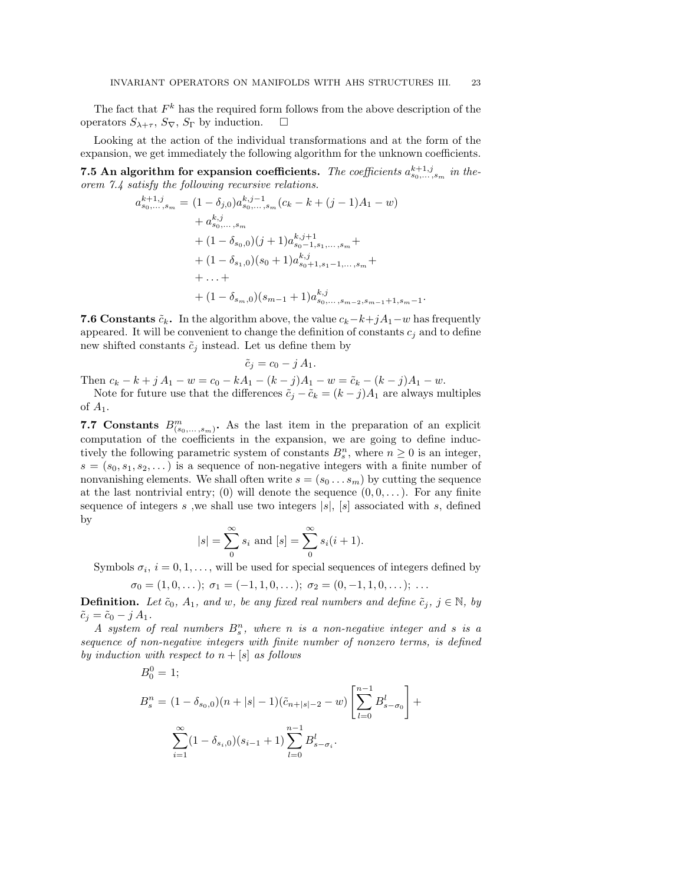The fact that  $F<sup>k</sup>$  has the required form follows from the above description of the operators  $S_{\lambda+\tau}$ ,  $S_{\nabla}$ ,  $S_{\Gamma}$  by induction.  $\square$ 

Looking at the action of the individual transformations and at the form of the expansion, we get immediately the following algorithm for the unknown coefficients.

**7.5** An algorithm for expansion coefficients. The coefficients  $a_{s_0,\ldots,s_m}^{k+1,j}$  in theorem 7.4 satisfy the following recursive relations.

$$
a_{s_0,\ldots,s_m}^{k+1,j} = (1 - \delta_{j,0}) a_{s_0,\ldots,s_m}^{k,j-1} (c_k - k + (j-1)A_1 - w)
$$
  
+  $a_{s_0,\ldots,s_m}^{k,j}$   
+  $(1 - \delta_{s_0,0})(j+1) a_{s_0-1,s_1,\ldots,s_m}^{k,j+1} + (1 - \delta_{s_1,0})(s_0 + 1) a_{s_0+1,s_1-1,\ldots,s_m}^{k,j} + \ldots + \newline + (1 - \delta_{s_m,0})(s_{m-1} + 1) a_{s_0,\ldots,s_{m-2},s_{m-1}+1,s_m-1}^{k,j}.$ 

**7.6 Constants**  $\tilde{c}_k$ . In the algorithm above, the value  $c_k-k+jA_1-w$  has frequently appeared. It will be convenient to change the definition of constants  $c_i$  and to define new shifted constants  $\tilde{c}_j$  instead. Let us define them by

$$
\tilde{c}_j = c_0 - j A_1.
$$

Then  $c_k - k + j A_1 - w = c_0 - kA_1 - (k - j)A_1 - w = \tilde{c}_k - (k - j)A_1 - w$ .

Note for future use that the differences  $\tilde{c}_i - \tilde{c}_k = (k - j)A_1$  are always multiples of  $A_1$ .

7.7 Constants  $B^m_{(s_0,\ldots,s_m)}$ . As the last item in the preparation of an explicit computation of the coefficients in the expansion, we are going to define inductively the following parametric system of constants  $B_s^n$ , where  $n \geq 0$  is an integer,  $s = (s_0, s_1, s_2, \dots)$  is a sequence of non-negative integers with a finite number of nonvanishing elements. We shall often write  $s = (s_0 \dots s_m)$  by cutting the sequence at the last nontrivial entry; (0) will denote the sequence  $(0, 0, \ldots)$ . For any finite sequence of integers s, we shall use two integers  $|s|$ ,  $|s|$  associated with s, defined by

$$
|s| = \sum_{0}^{\infty} s_i
$$
 and  $[s] = \sum_{0}^{\infty} s_i (i + 1)$ .

Symbols  $\sigma_i$ ,  $i = 0, 1, \ldots$ , will be used for special sequences of integers defined by

$$
\sigma_0 = (1, 0, \ldots); \; \sigma_1 = (-1, 1, 0, \ldots); \; \sigma_2 = (0, -1, 1, 0, \ldots); \; \ldots
$$

**Definition.** Let  $\tilde{c}_0$ ,  $A_1$ , and w, be any fixed real numbers and define  $\tilde{c}_i$ ,  $j \in \mathbb{N}$ , by  $\tilde{c}_j = \tilde{c}_0 - j A_1.$ 

A system of real numbers  $B_s^n$ , where n is a non-negative integer and s is a sequence of non-negative integers with finite number of nonzero terms, is defined by induction with respect to  $n + [s]$  as follows

$$
B_0^0 = 1;
$$
  
\n
$$
B_s^n = (1 - \delta_{s_0,0})(n + |s| - 1)(\tilde{c}_{n + |s| - 2} - w) \left[ \sum_{l=0}^{n-1} B_{s - \sigma_0}^l \right] + \sum_{i=1}^{\infty} (1 - \delta_{s_i,0})(s_{i-1} + 1) \sum_{l=0}^{n-1} B_{s - \sigma_i}^l.
$$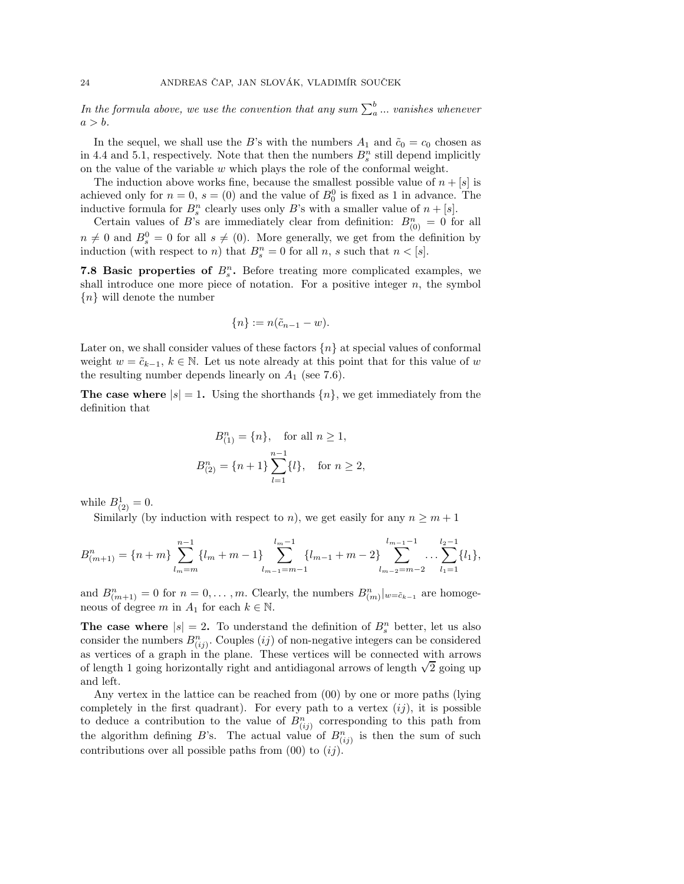In the formula above, we use the convention that any sum  $\sum_a^b ...$  vanishes whenever  $a > b$ .

In the sequel, we shall use the B's with the numbers  $A_1$  and  $\tilde{c}_0 = c_0$  chosen as in 4.4 and 5.1, respectively. Note that then the numbers  $B_s^n$  still depend implicitly on the value of the variable  $w$  which plays the role of the conformal weight.

The induction above works fine, because the smallest possible value of  $n + [s]$  is achieved only for  $n = 0$ ,  $s = (0)$  and the value of  $B_0^0$  is fixed as 1 in advance. The inductive formula for  $B_s^n$  clearly uses only B's with a smaller value of  $n + [s]$ .

Certain values of B's are immediately clear from definition:  $B_{(0)}^n = 0$  for all  $n \neq 0$  and  $B_s^0 = 0$  for all  $s \neq (0)$ . More generally, we get from the definition by induction (with respect to *n*) that  $B_s^n = 0$  for all *n*, *s* such that  $n < [s]$ .

**7.8 Basic properties of**  $B_s^n$ **.** Before treating more complicated examples, we shall introduce one more piece of notation. For a positive integer  $n$ , the symbol  ${n}$  will denote the number

$$
\{n\} := n(\tilde{c}_{n-1} - w).
$$

Later on, we shall consider values of these factors  ${n}$  at special values of conformal weight  $w = \tilde{c}_{k-1}$ ,  $k \in \mathbb{N}$ . Let us note already at this point that for this value of w the resulting number depends linearly on  $A_1$  (see 7.6).

**The case where**  $|s| = 1$ . Using the shorthands  $\{n\}$ , we get immediately from the definition that

$$
B_{(1)}^{n} = \{n\}, \text{ for all } n \ge 1,
$$
  

$$
B_{(2)}^{n} = \{n+1\} \sum_{l=1}^{n-1} \{l\}, \text{ for } n \ge 2,
$$

while  $B^1_{(2)} = 0$ .

Similarly (by induction with respect to n), we get easily for any  $n \geq m + 1$ 

$$
B_{(m+1)}^n = \{n+m\} \sum_{l_m=m}^{n-1} \{l_m+m-1\} \sum_{l_{m-1}=m-1}^{l_{m-1}} \{l_{m-1}+m-2\} \sum_{l_{m-2}=m-2}^{l_{m-1}-1} \dots \sum_{l_1=1}^{l_2-1} \{l_1\},
$$

and  $B_{(m+1)}^n = 0$  for  $n = 0, \ldots, m$ . Clearly, the numbers  $B_{(m)}^n|_{w = \tilde{c}_{k-1}}$  are homogeneous of degree m in  $A_1$  for each  $k \in \mathbb{N}$ .

The case where  $|s| = 2$ . To understand the definition of  $B_s^n$  better, let us also consider the numbers  $B_{(ij)}^n$ . Couples  $(ij)$  of non-negative integers can be considered as vertices of a graph in the plane. These vertices will be connected with arrows of length 1 going horizontally right and antidiagonal arrows of length  $\sqrt{2}$  going up and left.

Any vertex in the lattice can be reached from (00) by one or more paths (lying completely in the first quadrant). For every path to a vertex  $(ij)$ , it is possible to deduce a contribution to the value of  $B_{(ij)}^n$  corresponding to this path from the algorithm defining B's. The actual value of  $B_{(ij)}^n$  is then the sum of such contributions over all possible paths from  $(00)$  to  $(ij)$ .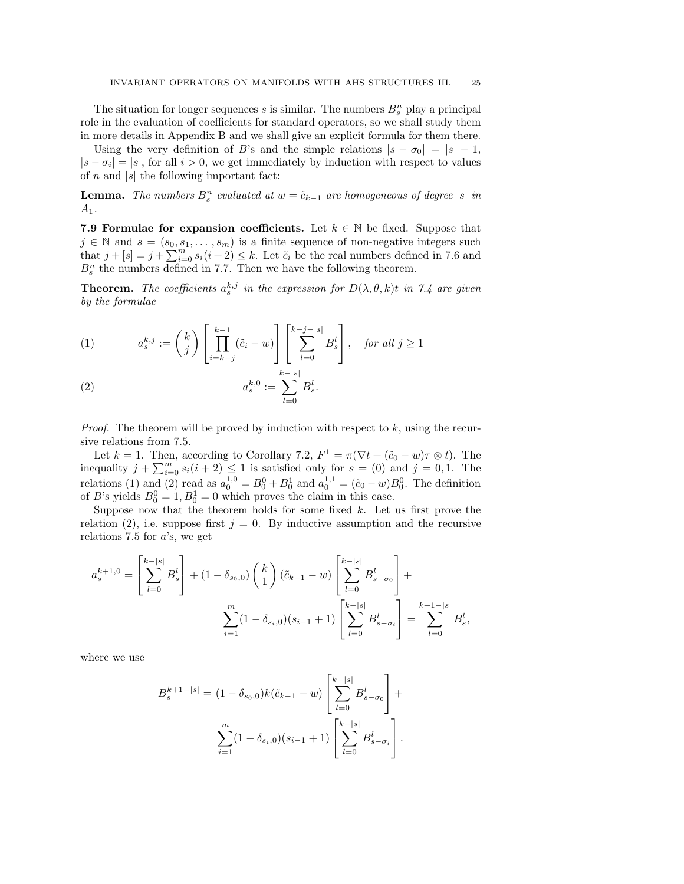The situation for longer sequences  $s$  is similar. The numbers  $B_s^n$  play a principal role in the evaluation of coefficients for standard operators, so we shall study them in more details in Appendix B and we shall give an explicit formula for them there.

Using the very definition of B's and the simple relations  $|s - \sigma_0| = |s| - 1$ ,  $|s - \sigma_i| = |s|$ , for all  $i > 0$ , we get immediately by induction with respect to values of  $n$  and  $|s|$  the following important fact:

**Lemma.** The numbers  $B_s^n$  evaluated at  $w = \tilde{c}_{k-1}$  are homogeneous of degree  $|s|$  in  $A_1$ .

7.9 Formulae for expansion coefficients. Let  $k \in \mathbb{N}$  be fixed. Suppose that  $j \in \mathbb{N}$  and  $s = (s_0, s_1, \ldots, s_m)$  is a finite sequence of non-negative integers such that  $j + [s] = j + \sum_{i=0}^{m} s_i (i + 2) \leq k$ . Let  $\tilde{c}_i$  be the real numbers defined in 7.6 and  $B_s^n$  the numbers defined in 7.7. Then we have the following theorem.

**Theorem.** The coefficients  $a_s^{k,j}$  in the expression for  $D(\lambda, \theta, k)t$  in 7.4 are given by the formulae

(1) 
$$
a_s^{k,j} := \binom{k}{j} \left[ \prod_{i=k-j}^{k-1} (\tilde{c}_i - w) \right] \left[ \sum_{l=0}^{k-j-|s|} B_s^l \right], \text{ for all } j \ge 1
$$

(2) 
$$
a_s^{k,0} := \sum_{l=0}^{k-|s|} B_s^l.
$$

*Proof.* The theorem will be proved by induction with respect to  $k$ , using the recursive relations from 7.5.

Let  $k = 1$ . Then, according to Corollary 7.2,  $F^1 = \pi(\nabla t + (\tilde{c}_0 - w)\tau \otimes t)$ . The inequality  $j + \sum_{i=0}^{m} s_i(i+2) \leq 1$  is satisfied only for  $s = (0)$  and  $j = 0, 1$ . The relations (1) and (2) read as  $a_0^{1,0} = B_0^0 + B_0^1$  and  $a_0^{1,1} = (\tilde{c}_0 - w)B_0^0$ . The definition of B's yields  $B_0^0 = 1, B_0^1 = 0$  which proves the claim in this case.

Suppose now that the theorem holds for some fixed  $k$ . Let us first prove the relation (2), i.e. suppose first  $j = 0$ . By inductive assumption and the recursive relations 7.5 for  $a$ 's, we get

$$
a_s^{k+1,0} = \left[\sum_{l=0}^{k-|s|} B_s^l\right] + (1 - \delta_{s_0,0}) \left(\begin{array}{c} k\\1 \end{array}\right) (\tilde{c}_{k-1} - w) \left[\sum_{l=0}^{k-|s|} B_{s-\sigma_0}^l\right] + \sum_{i=1}^m (1 - \delta_{s_i,0}) (s_{i-1} + 1) \left[\sum_{l=0}^{k-|s|} B_{s-\sigma_i}^l\right] = \sum_{l=0}^{k+1-|s|} B_s^l,
$$

where we use

$$
B_s^{k+1-|s|} = (1 - \delta_{s_0,0})k(\tilde{c}_{k-1} - w) \left[ \sum_{l=0}^{k-|s|} B_{s-\sigma_0}^l \right] + \sum_{i=1}^m (1 - \delta_{s_i,0})(s_{i-1} + 1) \left[ \sum_{l=0}^{k-|s|} B_{s-\sigma_i}^l \right].
$$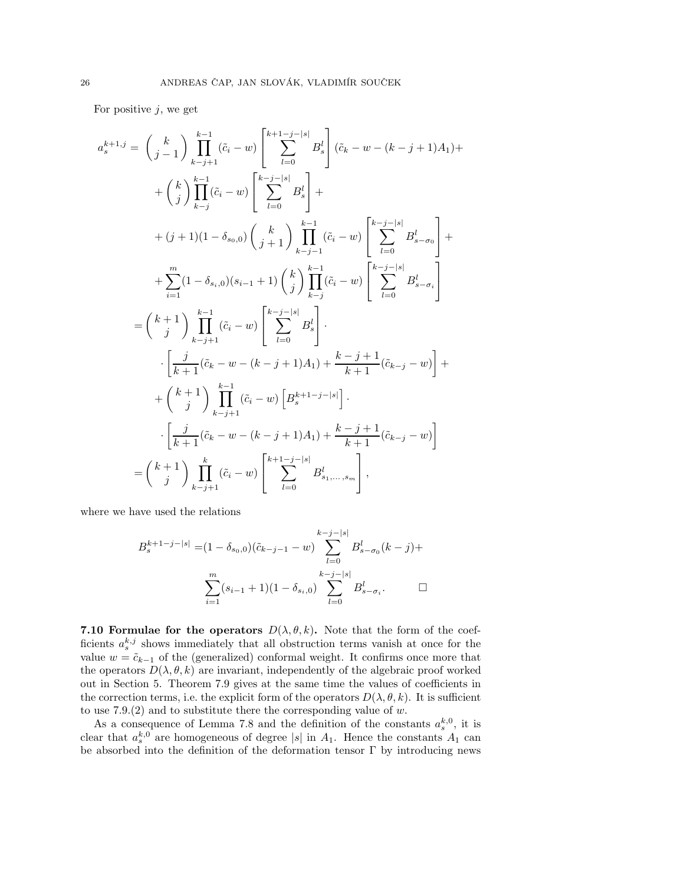For positive  $j$ , we get

$$
a_{s}^{k+1,j} = {k \choose j-1} \prod_{k-j+1}^{k-1} (\tilde{c}_{i} - w) \left[ \sum_{l=0}^{k+1-j-|s|} B_{s}^{l} \right] (\tilde{c}_{k} - w - (k-j+1)A_{1}) +
$$
  
+  ${k \choose j} \prod_{k-j}^{k-1} (\tilde{c}_{i} - w) \left[ \sum_{l=0}^{k-j-|s|} B_{s}^{l} \right] +$   
+  $(j+1)(1 - \delta_{s_{0},0}) {k \choose j+1} \prod_{k-j-1}^{k-1} (\tilde{c}_{i} - w) \left[ \sum_{l=0}^{k-j-|s|} B_{s-\sigma_{0}}^{l} \right] +$   
+  $\sum_{i=1}^{m} (1 - \delta_{s_{i},0}) (s_{i-1} + 1) {k \choose j} \prod_{k-j}^{k-1} (\tilde{c}_{i} - w) \left[ \sum_{l=0}^{k-j-|s|} B_{s-\sigma_{i}}^{l} \right]$   
=  ${k+1 \choose j} \prod_{k-j+1}^{k-1} (\tilde{c}_{i} - w) \left[ \sum_{l=0}^{k-j-|s|} B_{s}^{l} \right].$   
-  $\left[ \frac{j}{k+1} (\tilde{c}_{k} - w - (k-j+1)A_{1}) + \frac{k-j+1}{k+1} (\tilde{c}_{k-j} - w) \right] +$   
+  ${k+1 \choose j} \prod_{k-j+1}^{k-1} (\tilde{c}_{i} - w) \left[ B_{s}^{k+1-j-|s|} \right].$   
-  $\left[ \frac{j}{k+1} (\tilde{c}_{k} - w - (k-j+1)A_{1}) + \frac{k-j+1}{k+1} (\tilde{c}_{k-j} - w) \right]$   
=  ${k+1 \choose j} \prod_{k-j+1}^{k} (\tilde{c}_{i} - w) \left[ \sum_{l=0}^{k+1-j-|s|} B_{s_{1},...,s_{m}}^{l} \right],$ 

where we have used the relations

$$
B_s^{k+1-j-|s|} = (1 - \delta_{s_0,0})(\tilde{c}_{k-j-1} - w) \sum_{l=0}^{k-j-|s|} B_{s-\sigma_0}^l(k-j) + \sum_{i=1}^m (s_{i-1}+1)(1-\delta_{s_i,0}) \sum_{l=0}^{k-j-|s|} B_{s-\sigma_i}^l.
$$

7.10 Formulae for the operators  $D(\lambda, \theta, k)$ . Note that the form of the coefficients  $a_s^{k,j}$  shows immediately that all obstruction terms vanish at once for the value  $w = \tilde{c}_{k-1}$  of the (generalized) conformal weight. It confirms once more that the operators  $D(\lambda, \theta, k)$  are invariant, independently of the algebraic proof worked out in Section 5. Theorem 7.9 gives at the same time the values of coefficients in the correction terms, i.e. the explicit form of the operators  $D(\lambda, \theta, k)$ . It is sufficient to use  $7.9(2)$  and to substitute there the corresponding value of w.

As a consequence of Lemma 7.8 and the definition of the constants  $a_s^{k,0}$ , it is clear that  $a_s^{k,0}$  are homogeneous of degree |s| in  $A_1$ . Hence the constants  $A_1$  can be absorbed into the definition of the deformation tensor Γ by introducing news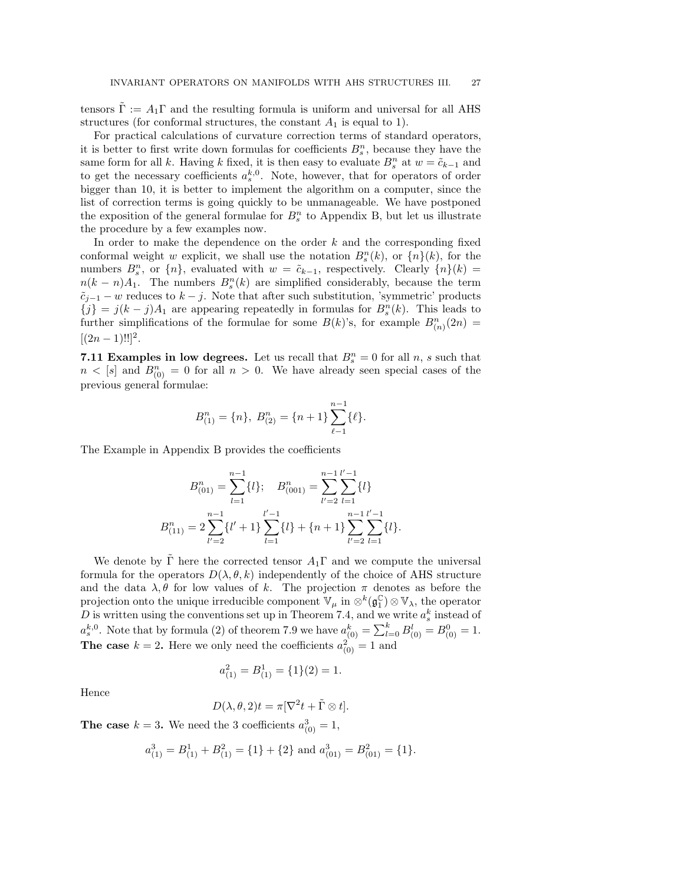tensors  $\Gamma := A_1 \Gamma$  and the resulting formula is uniform and universal for all AHS structures (for conformal structures, the constant  $A_1$  is equal to 1).

For practical calculations of curvature correction terms of standard operators, it is better to first write down formulas for coefficients  $B_s^n$ , because they have the same form for all k. Having k fixed, it is then easy to evaluate  $B_s^n$  at  $w = \tilde{c}_{k-1}$  and to get the necessary coefficients  $a_s^{k,0}$ . Note, however, that for operators of order bigger than 10, it is better to implement the algorithm on a computer, since the list of correction terms is going quickly to be unmanageable. We have postponed the exposition of the general formulae for  $B_s^n$  to Appendix B, but let us illustrate the procedure by a few examples now.

In order to make the dependence on the order  $k$  and the corresponding fixed conformal weight w explicit, we shall use the notation  $B_s^n(k)$ , or  $\{n\}(k)$ , for the numbers  $B_s^n$ , or  $\{n\}$ , evaluated with  $w = \tilde{c}_{k-1}$ , respectively. Clearly  $\{n\}(k)$  =  $n(k - n)A_1$ . The numbers  $B_s^n(k)$  are simplified considerably, because the term  $\tilde{c}_{j-1} - w$  reduces to  $k - j$ . Note that after such substitution, 'symmetric' products  ${j} = j(k - j)A_1$  are appearing repeatedly in formulas for  $B_s^n(k)$ . This leads to further simplifications of the formulae for some  $B(k)$ 's, for example  $B_{(n)}^n(2n) =$  $[(2n-1)!!]^2.$ 

7.11 Examples in low degrees. Let us recall that  $B_s^n = 0$  for all n, s such that  $n \langle s | s \rangle$  and  $B_{(0)}^n = 0$  for all  $n > 0$ . We have already seen special cases of the previous general formulae:

$$
B_{(1)}^n = \{n\}, B_{(2)}^n = \{n+1\} \sum_{\ell=1}^{n-1} {\{\ell\}}.
$$

The Example in Appendix B provides the coefficients

$$
B_{(01)}^n = \sum_{l=1}^{n-1} \{l\}; \quad B_{(001)}^n = \sum_{l'=2}^{n-1} \sum_{l=1}^{l'-1} \{l\}
$$

$$
B_{(11)}^n = 2 \sum_{l'=2}^{n-1} \{l'+1\} \sum_{l=1}^{l'-1} \{l\} + \{n+1\} \sum_{l'=2}^{n-1} \sum_{l=1}^{l'-1} \{l\}.
$$

We denote by  $\Gamma$  here the corrected tensor  $A_1\Gamma$  and we compute the universal formula for the operators  $D(\lambda, \theta, k)$  independently of the choice of AHS structure and the data  $\lambda, \theta$  for low values of k. The projection  $\pi$  denotes as before the projection onto the unique irreducible component  $\mathbb{V}_{\mu}$  in  $\otimes^k(\mathfrak{g}_1^{\mathbb{C}}) \otimes \mathbb{V}_{\lambda}$ , the operator D is written using the conventions set up in Theorem 7.4, and we write  $a_s^k$  instead of  $a_s^{k,0}$ . Note that by formula (2) of theorem 7.9 we have  $a_{(0)}^k = \sum_{l=0}^k B_{(0)}^l = B_{(0)}^0 = 1$ . **The case**  $k = 2$ . Here we only need the coefficients  $a_{(0)}^2 = 1$  and

$$
a_{(1)}^2 = B_{(1)}^1 = \{1\}(2) = 1.
$$

Hence

$$
D(\lambda, \theta, 2)t = \pi [\nabla^2 t + \tilde{\Gamma} \otimes t].
$$

**The case**  $k = 3$ . We need the 3 coefficients  $a_{(0)}^3 = 1$ ,

$$
a_{(1)}^3 = B_{(1)}^1 + B_{(1)}^2 = \{1\} + \{2\}
$$
 and  $a_{(01)}^3 = B_{(01)}^2 = \{1\}.$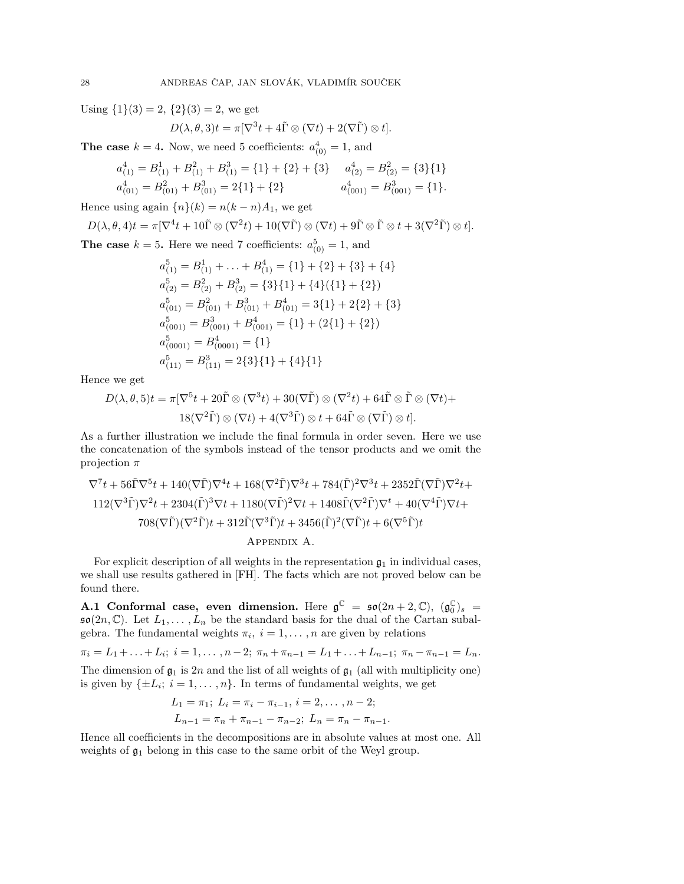Using  $\{1\}(3) = 2$ ,  $\{2\}(3) = 2$ , we get

$$
D(\lambda, \theta, 3)t = \pi [\nabla^3 t + 4\tilde{\Gamma} \otimes (\nabla t) + 2(\nabla \tilde{\Gamma}) \otimes t].
$$

**The case**  $k = 4$ . Now, we need 5 coefficients:  $a_{(0)}^4 = 1$ , and

$$
a_{(1)}^4 = B_{(1)}^1 + B_{(1)}^2 + B_{(1)}^3 = \{1\} + \{2\} + \{3\} \quad a_{(2)}^4 = B_{(2)}^2 = \{3\}\{1\}
$$
  

$$
a_{(01)}^4 = B_{(01)}^2 + B_{(01)}^3 = 2\{1\} + \{2\} \qquad a_{(001)}^4 = B_{(001)}^3 = \{1\}.
$$

Hence using again  ${n}(k) = n(k - n)A_1$ , we get

$$
D(\lambda, \theta, 4)t = \pi [\nabla^4 t + 10\tilde{\Gamma} \otimes (\nabla^2 t) + 10(\nabla \tilde{\Gamma}) \otimes (\nabla t) + 9\tilde{\Gamma} \otimes \tilde{\Gamma} \otimes t + 3(\nabla^2 \tilde{\Gamma}) \otimes t].
$$

**The case**  $k = 5$ . Here we need 7 coefficients:  $a_{(0)}^5 = 1$ , and

$$
a_{(1)}^5 = B_{(1)}^1 + \dots + B_{(1)}^4 = \{1\} + \{2\} + \{3\} + \{4\}
$$
  
\n
$$
a_{(2)}^5 = B_{(2)}^2 + B_{(2)}^3 = \{3\}\{1\} + \{4\}\{\{1\} + \{2\}\}\
$$
  
\n
$$
a_{(01)}^5 = B_{(01)}^2 + B_{(01)}^3 + B_{(01)}^4 = 3\{1\} + 2\{2\} + \{3\}
$$
  
\n
$$
a_{(001)}^5 = B_{(001)}^3 + B_{(001)}^4 = \{1\} + (2\{1\} + \{2\})
$$
  
\n
$$
a_{(0001)}^5 = B_{(0001)}^4 = \{1\}
$$
  
\n
$$
a_{(11)}^5 = B_{(11)}^3 = 2\{3\}\{1\} + \{4\}\{1\}
$$

Hence we get

$$
D(\lambda, \theta, 5)t = \pi [\nabla^5 t + 20\tilde{\Gamma} \otimes (\nabla^3 t) + 30(\nabla \tilde{\Gamma}) \otimes (\nabla^2 t) + 64\tilde{\Gamma} \otimes \tilde{\Gamma} \otimes (\nabla t) + 18(\nabla^2 \tilde{\Gamma}) \otimes (\nabla t) + 4(\nabla^3 \tilde{\Gamma}) \otimes t + 64\tilde{\Gamma} \otimes (\nabla \tilde{\Gamma}) \otimes t].
$$

As a further illustration we include the final formula in order seven. Here we use the concatenation of the symbols instead of the tensor products and we omit the projection  $\pi$ 

$$
\nabla^7 t + 56\tilde{\Gamma}\nabla^5 t + 140(\nabla\tilde{\Gamma})\nabla^4 t + 168(\nabla^2\tilde{\Gamma})\nabla^3 t + 784(\tilde{\Gamma})^2\nabla^3 t + 2352\tilde{\Gamma}(\nabla\tilde{\Gamma})\nabla^2 t + 112(\nabla^3\tilde{\Gamma})\nabla^2 t + 2304(\tilde{\Gamma})^3\nabla t + 1180(\nabla\tilde{\Gamma})^2\nabla t + 1408\tilde{\Gamma}(\nabla^2\tilde{\Gamma})\nabla^t + 40(\nabla^4\tilde{\Gamma})\nabla t + 708(\nabla\tilde{\Gamma})(\nabla^2\tilde{\Gamma})t + 312\tilde{\Gamma}(\nabla^3\tilde{\Gamma})t + 3456(\tilde{\Gamma})^2(\nabla\tilde{\Gamma})t + 6(\nabla^5\tilde{\Gamma})t + 2456(\nabla^5)\tilde{\Gamma})t + 2456(\tilde{\Gamma})^2(\nabla\tilde{\Gamma})t + 6(\nabla^5\tilde{\Gamma})t + 2456(\nabla^5)\tilde{\Gamma})t + 2456(\nabla^5)\tilde{\Gamma})t + 2456(\tilde{\Gamma})^2(\nabla\tilde{\Gamma})t + 6(\nabla^5\tilde{\Gamma})t + 2456(\nabla^5)\tilde{\Gamma})t + 2456(\nabla^5)\tilde{\Gamma})t + 2456(\nabla^5)\tilde{\Gamma})t + 2456(\tilde{\Gamma})^2(\nabla\tilde{\Gamma})t + 2456(\tilde{\Gamma})^2(\nabla\tilde{\Gamma})t + 2456(\tilde{\Gamma})^2(\nabla\tilde{\Gamma})t + 2456(\tilde{\Gamma})^2(\nabla\tilde{\Gamma})t + 2456(\tilde{\Gamma})^2(\nabla\tilde{\Gamma})t + 2456(\tilde{\Gamma})^2(\nabla\tilde{\Gamma})t + 2456(\tilde{\Gamma})^2(\nabla\tilde{\Gamma})t + 2456(\tilde{\Gamma})^2(\nabla\tilde{\Gamma})t + 2456(\tilde{\Gamma})^2(\nabla\tilde{\Gamma})t + 2456(\tilde{\Gamma})^2
$$

For explicit description of all weights in the representation  $\mathfrak{g}_1$  in individual cases, we shall use results gathered in [FH]. The facts which are not proved below can be found there.

A.1 Conformal case, even dimension. Here  $\mathfrak{g}^{\mathbb{C}} = \mathfrak{so}(2n+2,\mathbb{C}), (\mathfrak{g}^{\mathbb{C}}_0)_s =$  $\mathfrak{so}(2n,\mathbb{C})$ . Let  $L_1,\ldots,L_n$  be the standard basis for the dual of the Cartan subalgebra. The fundamental weights  $\pi_i$ ,  $i = 1, \ldots, n$  are given by relations

 $\pi_i = L_1 + \ldots + L_i; i = 1, \ldots, n-2; \pi_n + \pi_{n-1} = L_1 + \ldots + L_{n-1}; \pi_n - \pi_{n-1} = L_n.$ The dimension of  $\mathfrak{g}_1$  is 2n and the list of all weights of  $\mathfrak{g}_1$  (all with multiplicity one) is given by  $\{\pm L_i; i = 1, \ldots, n\}$ . In terms of fundamental weights, we get

$$
L_1 = \pi_1; L_i = \pi_i - \pi_{i-1}, i = 2, ..., n-2;
$$
  
\n
$$
L_{n-1} = \pi_n + \pi_{n-1} - \pi_{n-2}; L_n = \pi_n - \pi_{n-1}.
$$

Hence all coefficients in the decompositions are in absolute values at most one. All weights of  $\mathfrak{g}_1$  belong in this case to the same orbit of the Weyl group.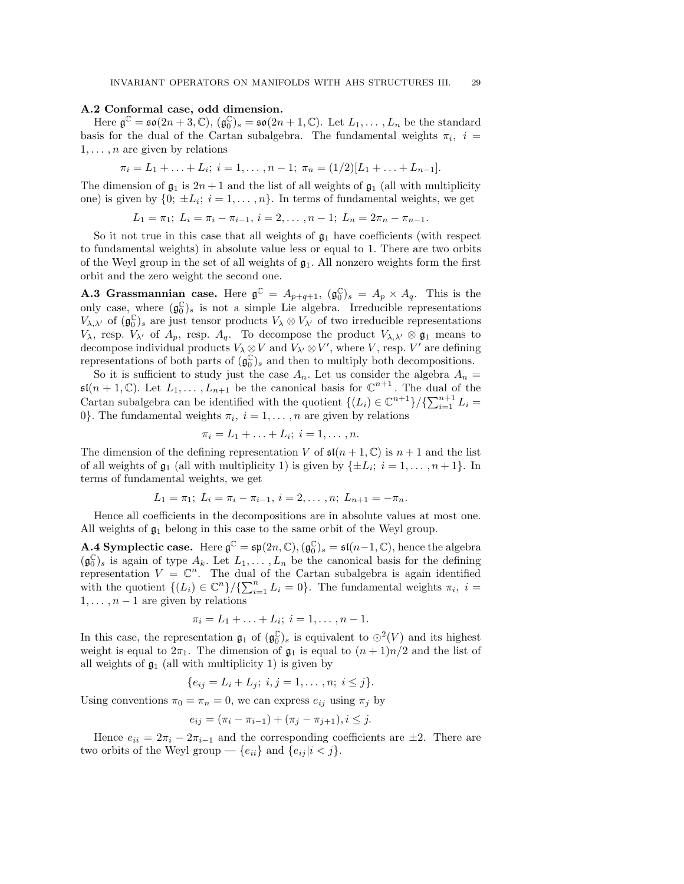#### A.2 Conformal case, odd dimension.

Here  $\mathfrak{g}^{\mathbb{C}} = \mathfrak{so}(2n+3, \mathbb{C}), (\mathfrak{g}_0^{\mathbb{C}})_s = \mathfrak{so}(2n+1, \mathbb{C}).$  Let  $L_1, \ldots, L_n$  be the standard basis for the dual of the Cartan subalgebra. The fundamental weights  $\pi_i$ ,  $i =$  $1, \ldots, n$  are given by relations

$$
\pi_i = L_1 + \ldots + L_i; \ i = 1, \ldots, n-1; \ \pi_n = (1/2)[L_1 + \ldots + L_{n-1}].
$$

The dimension of  $\mathfrak{g}_1$  is  $2n+1$  and the list of all weights of  $\mathfrak{g}_1$  (all with multiplicity one) is given by  $\{0; \pm L_i; i = 1, \ldots, n\}$ . In terms of fundamental weights, we get

 $L_1 = \pi_1$ ;  $L_i = \pi_i - \pi_{i-1}$ ,  $i = 2, \ldots, n-1$ ;  $L_n = 2\pi_n - \pi_{n-1}$ .

So it not true in this case that all weights of  $\mathfrak{g}_1$  have coefficients (with respect to fundamental weights) in absolute value less or equal to 1. There are two orbits of the Weyl group in the set of all weights of  $\mathfrak{g}_1$ . All nonzero weights form the first orbit and the zero weight the second one.

**A.3 Grassmannian case.** Here  $\mathfrak{g}^{\mathbb{C}} = A_{p+q+1}$ ,  $(\mathfrak{g}_0^{\mathbb{C}})_s = A_p \times A_q$ . This is the only case, where  $(\mathfrak{g}_0^{\mathbb{C}})_s$  is not a simple Lie algebra. Irreducible representations  $V_{\lambda},\lambda'$  of  $(\mathfrak{g}_{0}^{\mathbb{C}})$  are just tensor products  $V_{\lambda} \otimes V_{\lambda'}$  of two irreducible representations V<sub> $\lambda$ </sub>, resp.  $V_{\lambda'}$  of  $A_p$ , resp.  $A_q$ . To decompose the product  $V_{\lambda,\lambda'} \otimes \mathfrak{g}_1$  means to decompose individual products  $V_{\lambda} \otimes V$  and  $V_{\lambda'} \otimes V'$ , where V, resp. V' are defining representations of both parts of  $(\mathfrak{g}_0^{\mathbb{C}})_s$  and then to multiply both decompositions.

So it is sufficient to study just the case  $A_n$ . Let us consider the algebra  $A_n =$  $\mathfrak{sl}(n+1,\mathbb{C})$ . Let  $L_1,\ldots,L_{n+1}$  be the canonical basis for  $\mathbb{C}^{n+1}$ . The dual of the Cartan subalgebra can be identified with the quotient  $\{(L_i) \in \mathbb{C}^{n+1}\}/\{\sum_{i=1}^{n+1} L_i =$ 0}. The fundamental weights  $\pi_i$ ,  $i = 1, ..., n$  are given by relations

$$
\pi_i = L_1 + \ldots + L_i; \ i = 1, \ldots, n.
$$

The dimension of the defining representation V of  $\mathfrak{sl}(n+1,\mathbb{C})$  is  $n+1$  and the list of all weights of  $\mathfrak{g}_1$  (all with multiplicity 1) is given by  $\{\pm L_i; i = 1, \ldots, n+1\}$ . In terms of fundamental weights, we get

$$
L_1 = \pi_1; L_i = \pi_i - \pi_{i-1}, i = 2, \ldots, n; L_{n+1} = -\pi_n.
$$

Hence all coefficients in the decompositions are in absolute values at most one. All weights of  $\mathfrak{g}_1$  belong in this case to the same orbit of the Weyl group.

**A.4 Symplectic case.** Here  $\mathfrak{g}^{\mathbb{C}} = \mathfrak{sp}(2n, \mathbb{C}), (\mathfrak{g}_0^{\mathbb{C}})_s = \mathfrak{sl}(n-1, \mathbb{C}),$  hence the algebra  $(\mathfrak{g}_{0}^{\mathbb{C}})$  is again of type  $A_k$ . Let  $L_1, \ldots, L_n$  be the canonical basis for the defining representation  $V = \mathbb{C}^n$ . The dual of the Cartan subalgebra is again identified with the quotient  $\{(L_i) \in \mathbb{C}^n\}/\{\sum_{i=1}^n L_i = 0\}$ . The fundamental weights  $\pi_i$ ,  $i =$  $1, \ldots, n-1$  are given by relations

$$
\pi_i = L_1 + \ldots + L_i; \ i = 1, \ldots, n-1.
$$

In this case, the representation  $\mathfrak{g}_1$  of  $(\mathfrak{g}_0^{\mathbb{C}})_s$  is equivalent to  $\odot^2(V)$  and its highest weight is equal to  $2\pi_1$ . The dimension of  $\mathfrak{g}_1$  is equal to  $(n+1)n/2$  and the list of all weights of  $\mathfrak{g}_1$  (all with multiplicity 1) is given by

$$
\{e_{ij}=L_i+L_j; \ i,j=1,\ldots,n; \ i\leq j\}.
$$

Using conventions  $\pi_0 = \pi_n = 0$ , we can express  $e_{ij}$  using  $\pi_j$  by

$$
e_{ij} = (\pi_i - \pi_{i-1}) + (\pi_j - \pi_{j+1}), i \leq j.
$$

Hence  $e_{ii} = 2\pi_i - 2\pi_{i-1}$  and the corresponding coefficients are  $\pm 2$ . There are two orbits of the Weyl group —  $\{e_{ii}\}\$  and  $\{e_{ij} | i < j\}.$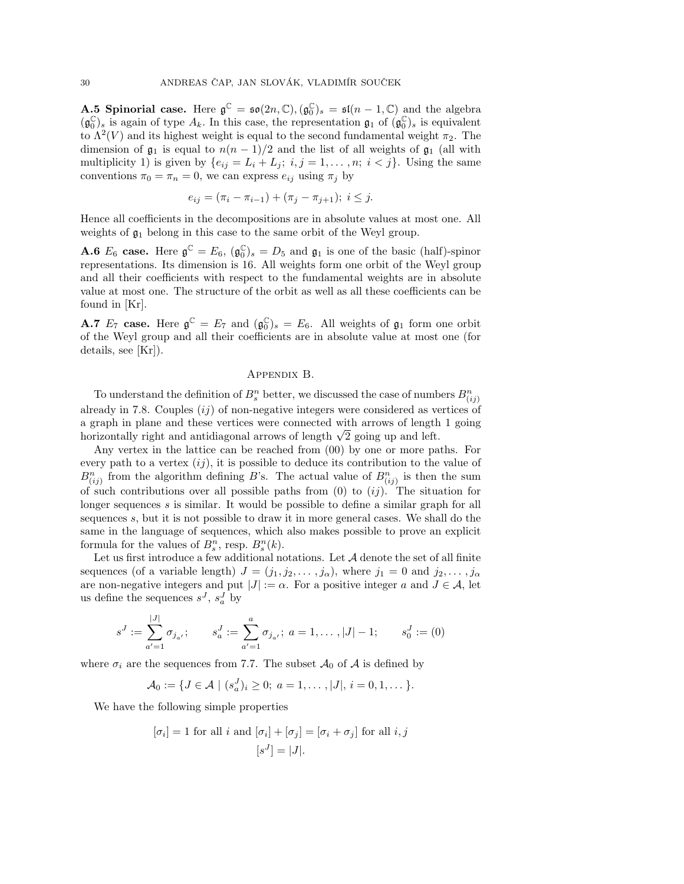**A.5 Spinorial case.** Here  $\mathfrak{g}^{\mathbb{C}} = \mathfrak{so}(2n, \mathbb{C}), (\mathfrak{g}_0^{\mathbb{C}})_s = \mathfrak{sl}(n-1, \mathbb{C})$  and the algebra  $(\mathfrak{g}_{0}^{\mathbb{C}})_{s}$  is again of type  $A_{k}$ . In this case, the representation  $\mathfrak{g}_{1}$  of  $(\mathfrak{g}_{0}^{\mathbb{C}})_{s}$  is equivalent to  $\Lambda^2(V)$  and its highest weight is equal to the second fundamental weight  $\pi_2$ . The dimension of  $\mathfrak{g}_1$  is equal to  $n(n-1)/2$  and the list of all weights of  $\mathfrak{g}_1$  (all with multiplicity 1) is given by  $\{e_{ij} = L_i + L_j; i, j = 1, ..., n; i < j\}$ . Using the same conventions  $\pi_0 = \pi_n = 0$ , we can express  $e_{ij}$  using  $\pi_j$  by

$$
e_{ij} = (\pi_i - \pi_{i-1}) + (\pi_j - \pi_{j+1}); \ i \leq j.
$$

Hence all coefficients in the decompositions are in absolute values at most one. All weights of  $\mathfrak{g}_1$  belong in this case to the same orbit of the Weyl group.

**A.6**  $E_6$  case. Here  $\mathfrak{g}^{\mathbb{C}} = E_6$ ,  $(\mathfrak{g}_0^{\mathbb{C}})_s = D_5$  and  $\mathfrak{g}_1$  is one of the basic (half)-spinor representations. Its dimension is 16. All weights form one orbit of the Weyl group and all their coefficients with respect to the fundamental weights are in absolute value at most one. The structure of the orbit as well as all these coefficients can be found in [Kr].

**A.7**  $E_7$  case. Here  $\mathfrak{g}^{\mathbb{C}} = E_7$  and  $(\mathfrak{g}_0^{\mathbb{C}})_s = E_6$ . All weights of  $\mathfrak{g}_1$  form one orbit of the Weyl group and all their coefficients are in absolute value at most one (for details, see [Kr]).

# Appendix B.

To understand the definition of  $B_s^n$  better, we discussed the case of numbers  $B_{(ij)}^n$ already in 7.8. Couples  $(ij)$  of non-negative integers were considered as vertices of a graph in plane and these vertices were connected with arrows of length 1 going horizontally right and antidiagonal arrows of length  $\sqrt{2}$  going up and left.

Any vertex in the lattice can be reached from (00) by one or more paths. For every path to a vertex  $(ij)$ , it is possible to deduce its contribution to the value of  $B_{(ij)}^n$  from the algorithm defining B's. The actual value of  $B_{(ij)}^n$  is then the sum of such contributions over all possible paths from  $(0)$  to  $(ij)$ . The situation for longer sequences s is similar. It would be possible to define a similar graph for all sequences s, but it is not possible to draw it in more general cases. We shall do the same in the language of sequences, which also makes possible to prove an explicit formula for the values of  $B_s^n$ , resp.  $B_s^n(k)$ .

Let us first introduce a few additional notations. Let  $A$  denote the set of all finite sequences (of a variable length)  $J = (j_1, j_2, \ldots, j_\alpha)$ , where  $j_1 = 0$  and  $j_2, \ldots, j_\alpha$ are non-negative integers and put  $|J| := \alpha$ . For a positive integer a and  $J \in \mathcal{A}$ , let us define the sequences  $s^J$ ,  $s_a^J$  by

$$
s^{J} := \sum_{a'=1}^{|J|} \sigma_{j_{a'}}; \qquad s_{a}^{J} := \sum_{a'=1}^{a} \sigma_{j_{a'}}; \ a = 1, \dots, |J| - 1; \qquad s_0^{J} := (0)
$$

where  $\sigma_i$  are the sequences from 7.7. The subset  $\mathcal{A}_0$  of  $\mathcal{A}$  is defined by

$$
\mathcal{A}_0 := \{ J \in \mathcal{A} \mid (s_a^J)_i \geq 0; \ a = 1, \dots, |J|, i = 0, 1, \dots \}.
$$

We have the following simple properties

$$
[\sigma_i] = 1
$$
 for all  $i$  and  $[\sigma_i] + [\sigma_j] = [\sigma_i + \sigma_j]$  for all  $i, j$   
 $[s^J] = |J|$ .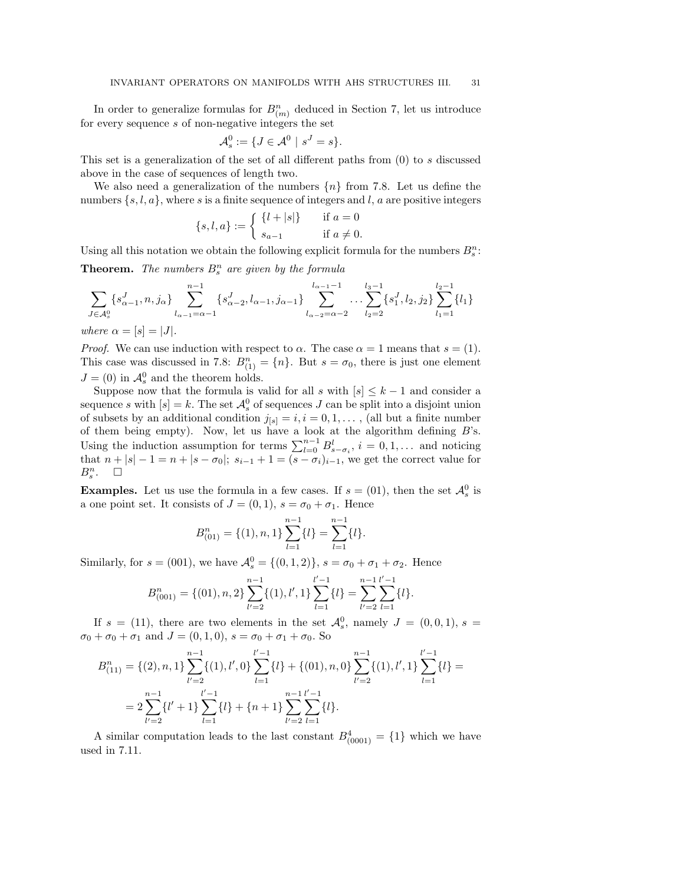In order to generalize formulas for  $B_{(m)}^n$  deduced in Section 7, let us introduce for every sequence s of non-negative integers the set

$$
\mathcal{A}_s^0 := \{ J \in \mathcal{A}^0 \mid s^J = s \}.
$$

This set is a generalization of the set of all different paths from  $(0)$  to s discussed above in the case of sequences of length two.

We also need a generalization of the numbers  $\{n\}$  from 7.8. Let us define the numbers  $\{s, l, a\}$ , where s is a finite sequence of integers and l, a are positive integers

$$
\{s, l, a\} := \begin{cases} \{l + |s|\} & \text{if } a = 0\\ s_{a-1} & \text{if } a \neq 0. \end{cases}
$$

Using all this notation we obtain the following explicit formula for the numbers  $B_s^n$ :

**Theorem.** The numbers  $B_s^n$  are given by the formula

$$
\sum_{J \in \mathcal{A}_s^0} \{s_{\alpha-1}^J, n, j_\alpha\} \sum_{l_{\alpha-1} = \alpha-1}^{n-1} \{s_{\alpha-2}^J, l_{\alpha-1}, j_{\alpha-1}\} \sum_{l_{\alpha-2} = \alpha-2}^{l_{\alpha-1}-1} \dots \sum_{l_2=2}^{l_3-1} \{s_1^J, l_2, j_2\} \sum_{l_1=1}^{l_2-1} \{l_1\}
$$
  
where  $\alpha = [s] = |J|$ .

*Proof.* We can use induction with respect to  $\alpha$ . The case  $\alpha = 1$  means that  $s = (1)$ . This case was discussed in 7.8:  $B_{(1)}^n = \{n\}$ . But  $s = \sigma_0$ , there is just one element  $J = (0)$  in  $\mathcal{A}_{s}^{0}$  and the theorem holds.

Suppose now that the formula is valid for all s with  $[s] \leq k-1$  and consider a sequence s with  $[s] = k$ . The set  $\mathcal{A}_{s}^{0}$  of sequences J can be split into a disjoint union of subsets by an additional condition  $j_{[s]} = i, i = 0, 1, \ldots$ , (all but a finite number of them being empty). Now, let us have a look at the algorithm defining  $B$ 's. Using the induction assumption for terms  $\sum_{l=0}^{n-1} B_{s-\sigma_i}^l$ ,  $i=0,1,...$  and noticing that  $n + |s| - 1 = n + |s - \sigma_0|$ ;  $s_{i-1} + 1 = (s - \sigma_i)_{i-1}$ , we get the correct value for  $B_s^n$ .  $\Box$ 

**Examples.** Let us use the formula in a few cases. If  $s = (01)$ , then the set  $\mathcal{A}_s^0$  is a one point set. It consists of  $J = (0, 1), s = \sigma_0 + \sigma_1$ . Hence

$$
B_{(01)}^n = \{(1), n, 1\} \sum_{l=1}^{n-1} \{l\} = \sum_{l=1}^{n-1} \{l\}.
$$

Similarly, for  $s = (001)$ , we have  $\mathcal{A}_s^0 = \{(0, 1, 2)\}\,$ ,  $s = \sigma_0 + \sigma_1 + \sigma_2$ . Hence

$$
B_{(001)}^n = \{(01), n, 2\} \sum_{l'=2}^{n-1} \{(1), l', 1\} \sum_{l=1}^{l'-1} \{l\} = \sum_{l'=2}^{n-1} \sum_{l=1}^{l'-1} \{l\}.
$$

If  $s = (11)$ , there are two elements in the set  $\mathcal{A}_s^0$ , namely  $J = (0,0,1)$ ,  $s =$  $\sigma_0 + \sigma_0 + \sigma_1$  and  $J = (0, 1, 0), s = \sigma_0 + \sigma_1 + \sigma_0$ . So

$$
B_{(11)}^{n} = \{(2), n, 1\} \sum_{l'=2}^{n-1} \{(1), l', 0\} \sum_{l=1}^{l'-1} \{l\} + \{(01), n, 0\} \sum_{l'=2}^{n-1} \{(1), l', 1\} \sum_{l=1}^{l'-1} \{l\} = 2 \sum_{l'=2}^{n-1} \{l' + 1\} \sum_{l=1}^{l'-1} \{l\} + \{n+1\} \sum_{l'=2}^{n-1} \sum_{l=1}^{l'-1} \{l\}.
$$

A similar computation leads to the last constant  $B_{(0001)}^4 = \{1\}$  which we have used in 7.11.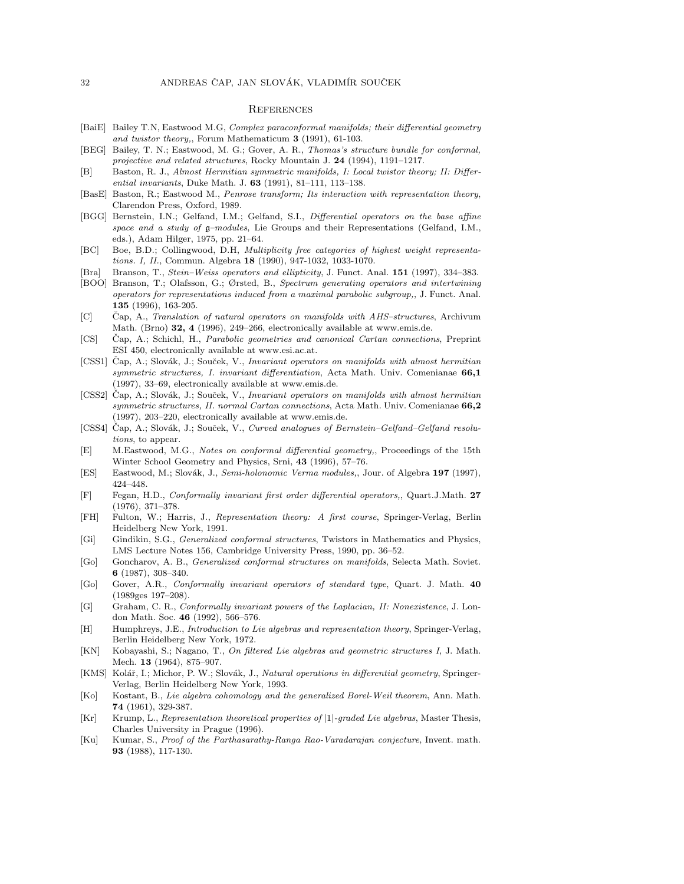#### **REFERENCES**

- [BaiE] Bailey T.N, Eastwood M.G, Complex paraconformal manifolds; their differential geometry and twistor theory,, Forum Mathematicum 3 (1991), 61-103.
- [BEG] Bailey, T. N.; Eastwood, M. G.; Gover, A. R., Thomas's structure bundle for conformal, projective and related structures, Rocky Mountain J. 24 (1994), 1191–1217.
- [B] Baston, R. J., Almost Hermitian symmetric manifolds, I: Local twistor theory; II: Differential invariants, Duke Math. J. 63 (1991), 81–111, 113–138.
- [BasE] Baston, R.; Eastwood M., Penrose transform; Its interaction with representation theory, Clarendon Press, Oxford, 1989.
- [BGG] Bernstein, I.N.; Gelfand, I.M.; Gelfand, S.I., Differential operators on the base affine space and a study of  $g$ -modules, Lie Groups and their Representations (Gelfand, I.M., eds.), Adam Hilger, 1975, pp. 21–64.
- [BC] Boe, B.D.; Collingwood, D.H, Multiplicity free categories of highest weight representations. I, II., Commun. Algebra 18 (1990), 947-1032, 1033-1070.
- [Bra] Branson, T., Stein–Weiss operators and ellipticity, J. Funct. Anal. 151 (1997), 334–383.
- [BOO] Branson, T.; Olafsson, G.; Ørsted, B., Spectrum generating operators and intertwining operators for representations induced from a maximal parabolic subgroup,, J. Funct. Anal. 135 (1996), 163-205.
- [C] Cap, A., Translation of natural operators on manifolds with AHS-structures, Archivum Math. (Brno) 32, 4 (1996), 249–266, electronically available at www.emis.de.
- [CS] Čap, A.; Schichl, H., Parabolic geometries and canonical Cartan connections, Preprint ESI 450, electronically available at www.esi.ac.at.
- [CSS1] Čap, A.; Slovák, J.; Souček, V., *Invariant operators on manifolds with almost hermitian* symmetric structures, I. invariant differentiation, Acta Math. Univ. Comenianae 66,1 (1997), 33–69, electronically available at www.emis.de.
- [CSS2] Čap, A.; Slovák, J.; Souček, V., *Invariant operators on manifolds with almost hermitian* symmetric structures, II. normal Cartan connections, Acta Math. Univ. Comenianae 66,2 (1997), 203–220, electronically available at www.emis.de.
- [CSS4] Čap, A.; Slovák, J.; Souček, V., Curved analogues of Bernstein–Gelfand–Gelfand resolutions, to appear.
- [E] M.Eastwood, M.G., Notes on conformal differential geometry,, Proceedings of the 15th Winter School Geometry and Physics, Srni, 43 (1996), 57–76.
- [ES] Eastwood, M.; Slovák, J., Semi-holonomic Verma modules,, Jour. of Algebra 197 (1997), 424–448.
- [F] Fegan, H.D., Conformally invariant first order differential operators,, Quart.J.Math. 27 (1976), 371–378.
- [FH] Fulton, W.; Harris, J., Representation theory: A first course, Springer-Verlag, Berlin Heidelberg New York, 1991.
- [Gi] Gindikin, S.G., Generalized conformal structures, Twistors in Mathematics and Physics, LMS Lecture Notes 156, Cambridge University Press, 1990, pp. 36–52.
- [Go] Goncharov, A. B., Generalized conformal structures on manifolds, Selecta Math. Soviet. 6 (1987), 308–340.
- [Go] Gover, A.R., Conformally invariant operators of standard type, Quart. J. Math. 40 (1989ges 197–208).
- [G] Graham, C. R., Conformally invariant powers of the Laplacian, II: Nonexistence, J. London Math. Soc. 46 (1992), 566–576.
- [H] Humphreys, J.E., Introduction to Lie algebras and representation theory, Springer-Verlag, Berlin Heidelberg New York, 1972.
- [KN] Kobayashi, S.; Nagano, T., On filtered Lie algebras and geometric structures I, J. Math. Mech. 13 (1964), 875–907.
- [KMS] Kolář, I.; Michor, P. W.; Slovák, J., Natural operations in differential geometry, Springer-Verlag, Berlin Heidelberg New York, 1993.
- [Ko] Kostant, B., Lie algebra cohomology and the generalized Borel-Weil theorem, Ann. Math. 74 (1961), 329-387.
- [Kr] Krump, L., Representation theoretical properties of |1|-graded Lie algebras, Master Thesis, Charles University in Prague (1996).
- [Ku] Kumar, S., Proof of the Parthasarathy-Ranga Rao-Varadarajan conjecture, Invent. math. 93 (1988), 117-130.